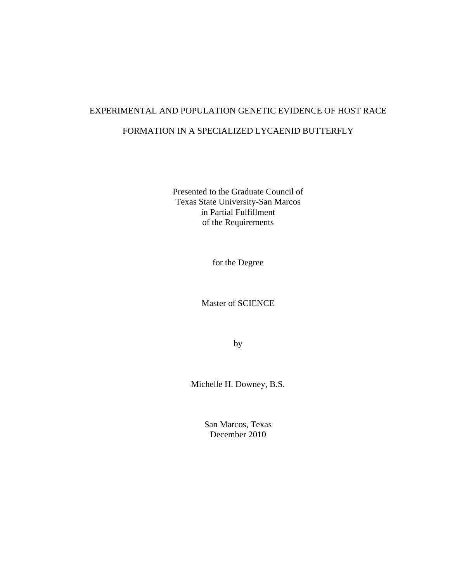# EXPERIMENTAL AND POPULATION GENETIC EVIDENCE OF HOST RACE FORMATION IN A SPECIALIZED LYCAENID BUTTERFLY

Presented to the Graduate Council of Texas State University-San Marcos in Partial Fulfillment of the Requirements

for the Degree

Master of SCIENCE

by

Michelle H. Downey, B.S.

San Marcos, Texas December 2010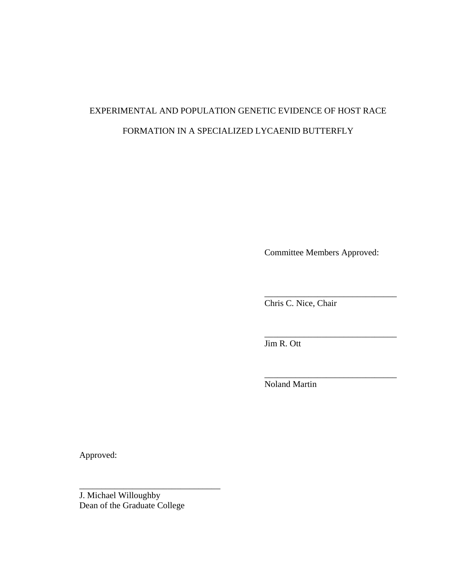# EXPERIMENTAL AND POPULATION GENETIC EVIDENCE OF HOST RACE FORMATION IN A SPECIALIZED LYCAENID BUTTERFLY

Committee Members Approved:

\_\_\_\_\_\_\_\_\_\_\_\_\_\_\_\_\_\_\_\_\_\_\_\_\_\_\_\_\_\_

\_\_\_\_\_\_\_\_\_\_\_\_\_\_\_\_\_\_\_\_\_\_\_\_\_\_\_\_\_\_

\_\_\_\_\_\_\_\_\_\_\_\_\_\_\_\_\_\_\_\_\_\_\_\_\_\_\_\_\_\_

Chris C. Nice, Chair

Jim R. Ott

Noland Martin

Approved:

J. Michael Willoughby Dean of the Graduate College

\_\_\_\_\_\_\_\_\_\_\_\_\_\_\_\_\_\_\_\_\_\_\_\_\_\_\_\_\_\_\_\_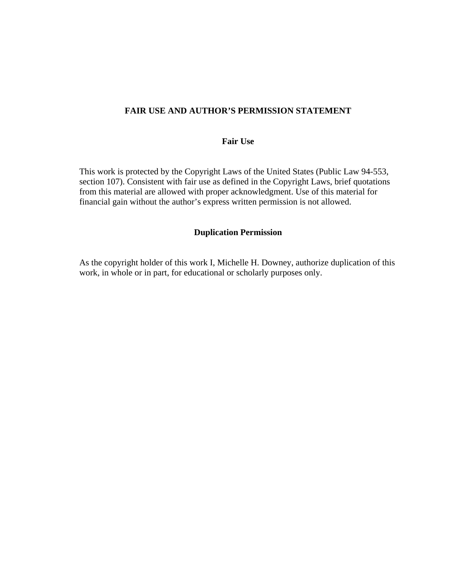# **FAIR USE AND AUTHOR'S PERMISSION STATEMENT**

## **Fair Use**

This work is protected by the Copyright Laws of the United States (Public Law 94-553, section 107). Consistent with fair use as defined in the Copyright Laws, brief quotations from this material are allowed with proper acknowledgment. Use of this material for financial gain without the author's express written permission is not allowed.

### **Duplication Permission**

As the copyright holder of this work I, Michelle H. Downey, authorize duplication of this work, in whole or in part, for educational or scholarly purposes only.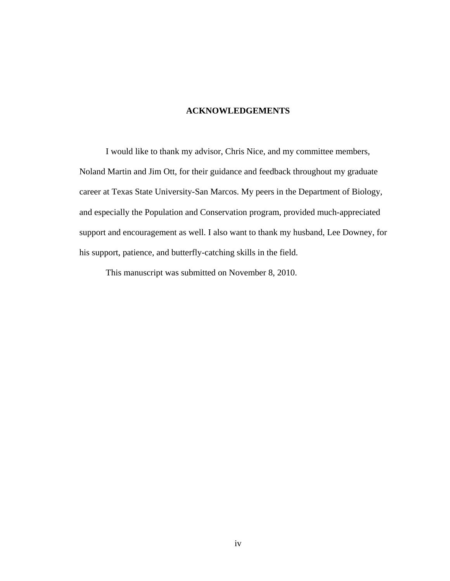# **ACKNOWLEDGEMENTS**

I would like to thank my advisor, Chris Nice, and my committee members, Noland Martin and Jim Ott, for their guidance and feedback throughout my graduate career at Texas State University-San Marcos. My peers in the Department of Biology, and especially the Population and Conservation program, provided much-appreciated support and encouragement as well. I also want to thank my husband, Lee Downey, for his support, patience, and butterfly-catching skills in the field.

This manuscript was submitted on November 8, 2010.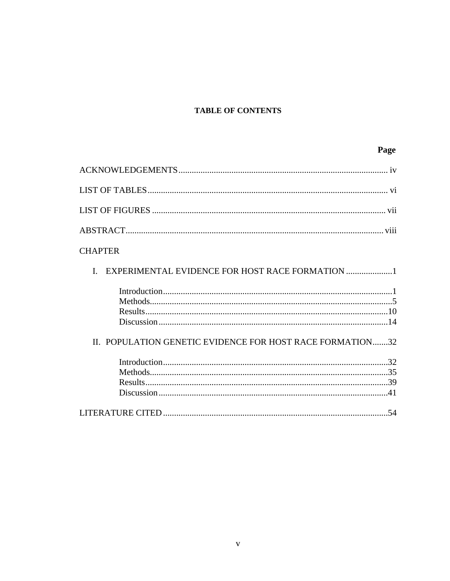# **TABLE OF CONTENTS**

# Page

| <b>CHAPTER</b>                                                  |
|-----------------------------------------------------------------|
| EXPERIMENTAL EVIDENCE FOR HOST RACE FORMATION 1<br>$\mathbf{I}$ |
|                                                                 |
|                                                                 |
|                                                                 |
| II. POPULATION GENETIC EVIDENCE FOR HOST RACE FORMATION32       |
|                                                                 |
|                                                                 |
|                                                                 |
|                                                                 |
|                                                                 |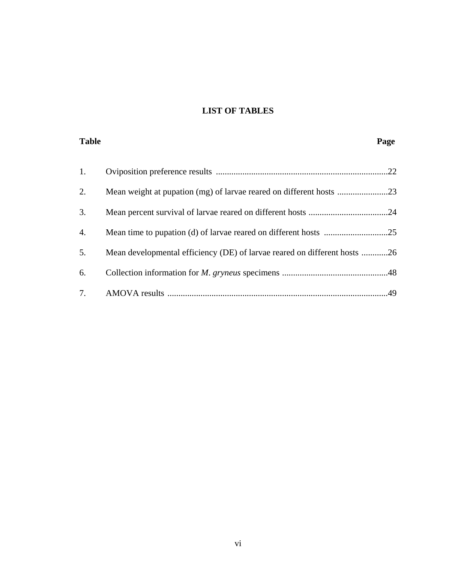# **LIST OF TABLES**

| <b>Table</b> |                                                                           | Page |
|--------------|---------------------------------------------------------------------------|------|
| 1.           |                                                                           |      |
| 2.           |                                                                           |      |
| 3.           |                                                                           |      |
| 4.           |                                                                           |      |
| 5.           | Mean developmental efficiency (DE) of larvae reared on different hosts 26 |      |
| 6.           |                                                                           |      |
| 7.           |                                                                           |      |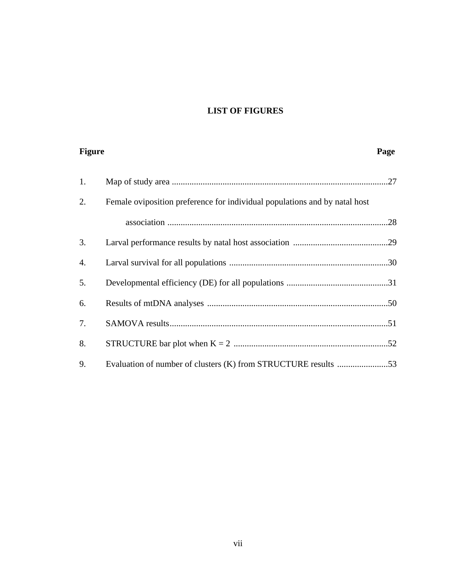# **LIST OF FIGURES**

| <b>Figure</b> |                                                                            | Page |
|---------------|----------------------------------------------------------------------------|------|
| 1.            |                                                                            |      |
| 2.            | Female oviposition preference for individual populations and by natal host |      |
|               |                                                                            |      |
| 3.            |                                                                            |      |
| 4.            |                                                                            |      |
| 5.            |                                                                            |      |
| 6.            |                                                                            |      |
| 7.            |                                                                            |      |
| 8.            |                                                                            |      |
| 9.            |                                                                            |      |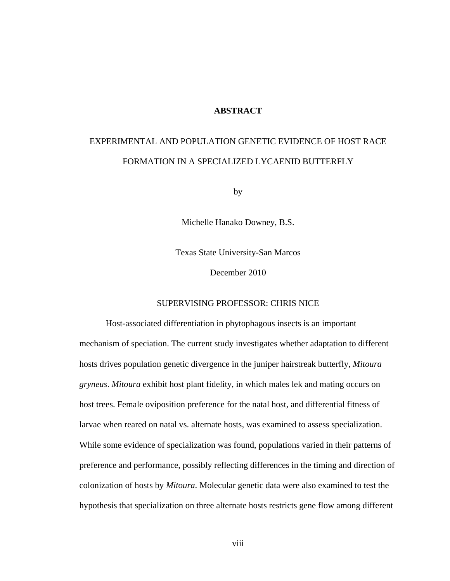### **ABSTRACT**

# EXPERIMENTAL AND POPULATION GENETIC EVIDENCE OF HOST RACE FORMATION IN A SPECIALIZED LYCAENID BUTTERFLY

by

Michelle Hanako Downey, B.S.

Texas State University-San Marcos

December 2010

## SUPERVISING PROFESSOR: CHRIS NICE

Host-associated differentiation in phytophagous insects is an important mechanism of speciation. The current study investigates whether adaptation to different hosts drives population genetic divergence in the juniper hairstreak butterfly, *Mitoura gryneus*. *Mitoura* exhibit host plant fidelity, in which males lek and mating occurs on host trees. Female oviposition preference for the natal host, and differential fitness of larvae when reared on natal vs. alternate hosts, was examined to assess specialization. While some evidence of specialization was found, populations varied in their patterns of preference and performance, possibly reflecting differences in the timing and direction of colonization of hosts by *Mitoura*. Molecular genetic data were also examined to test the hypothesis that specialization on three alternate hosts restricts gene flow among different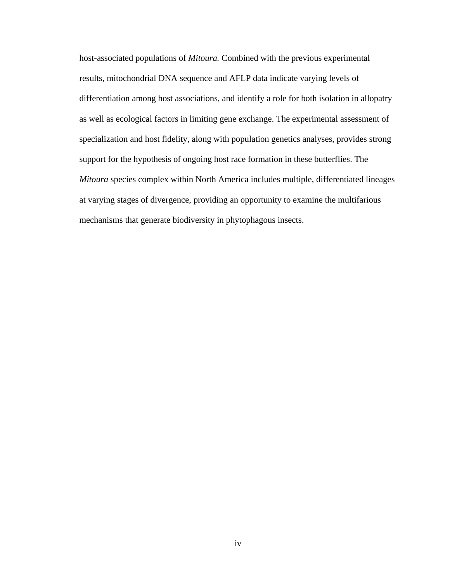host-associated populations of *Mitoura.* Combined with the previous experimental results, mitochondrial DNA sequence and AFLP data indicate varying levels of differentiation among host associations, and identify a role for both isolation in allopatry as well as ecological factors in limiting gene exchange. The experimental assessment of specialization and host fidelity, along with population genetics analyses, provides strong support for the hypothesis of ongoing host race formation in these butterflies. The *Mitoura* species complex within North America includes multiple, differentiated lineages at varying stages of divergence, providing an opportunity to examine the multifarious mechanisms that generate biodiversity in phytophagous insects.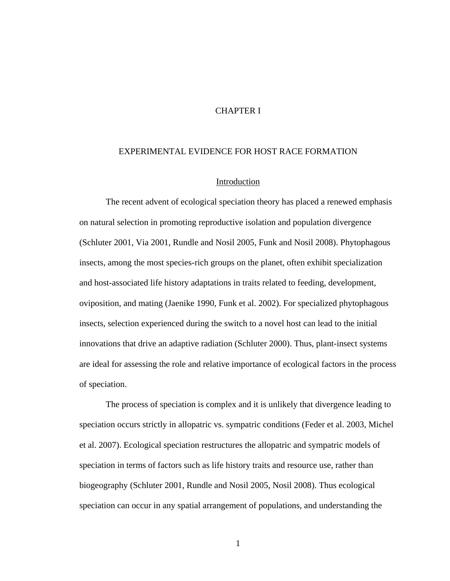## CHAPTER I

#### EXPERIMENTAL EVIDENCE FOR HOST RACE FORMATION

### Introduction

The recent advent of ecological speciation theory has placed a renewed emphasis on natural selection in promoting reproductive isolation and population divergence (Schluter 2001, Via 2001, Rundle and Nosil 2005, Funk and Nosil 2008). Phytophagous insects, among the most species-rich groups on the planet, often exhibit specialization and host-associated life history adaptations in traits related to feeding, development, oviposition, and mating (Jaenike 1990, Funk et al. 2002). For specialized phytophagous insects, selection experienced during the switch to a novel host can lead to the initial innovations that drive an adaptive radiation (Schluter 2000). Thus, plant-insect systems are ideal for assessing the role and relative importance of ecological factors in the process of speciation.

The process of speciation is complex and it is unlikely that divergence leading to speciation occurs strictly in allopatric vs. sympatric conditions (Feder et al. 2003, Michel et al. 2007). Ecological speciation restructures the allopatric and sympatric models of speciation in terms of factors such as life history traits and resource use, rather than biogeography (Schluter 2001, Rundle and Nosil 2005, Nosil 2008). Thus ecological speciation can occur in any spatial arrangement of populations, and understanding the

1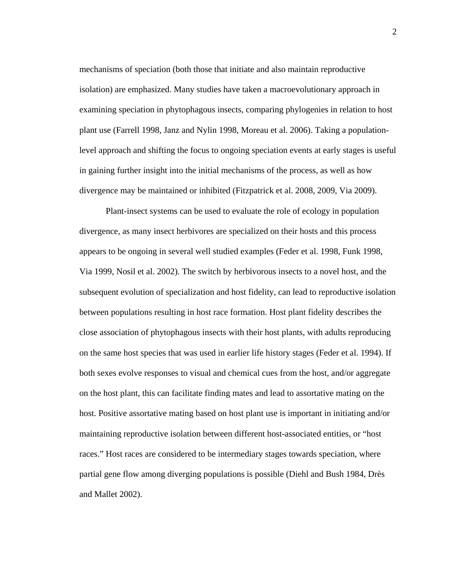mechanisms of speciation (both those that initiate and also maintain reproductive isolation) are emphasized. Many studies have taken a macroevolutionary approach in examining speciation in phytophagous insects, comparing phylogenies in relation to host plant use (Farrell 1998, Janz and Nylin 1998, Moreau et al. 2006). Taking a populationlevel approach and shifting the focus to ongoing speciation events at early stages is useful in gaining further insight into the initial mechanisms of the process, as well as how divergence may be maintained or inhibited (Fitzpatrick et al. 2008, 2009, Via 2009).

Plant-insect systems can be used to evaluate the role of ecology in population divergence, as many insect herbivores are specialized on their hosts and this process appears to be ongoing in several well studied examples (Feder et al. 1998, Funk 1998, Via 1999, Nosil et al. 2002). The switch by herbivorous insects to a novel host, and the subsequent evolution of specialization and host fidelity, can lead to reproductive isolation between populations resulting in host race formation. Host plant fidelity describes the close association of phytophagous insects with their host plants, with adults reproducing on the same host species that was used in earlier life history stages (Feder et al. 1994). If both sexes evolve responses to visual and chemical cues from the host, and/or aggregate on the host plant, this can facilitate finding mates and lead to assortative mating on the host. Positive assortative mating based on host plant use is important in initiating and/or maintaining reproductive isolation between different host-associated entities, or "host races." Host races are considered to be intermediary stages towards speciation, where partial gene flow among diverging populations is possible (Diehl and Bush 1984, Drès and Mallet 2002).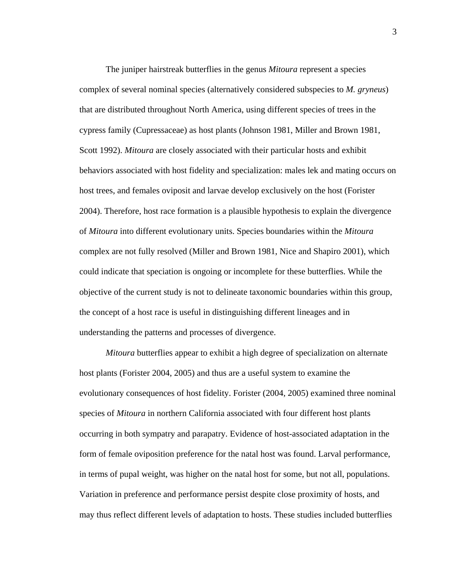The juniper hairstreak butterflies in the genus *Mitoura* represent a species complex of several nominal species (alternatively considered subspecies to *M. gryneus*) that are distributed throughout North America, using different species of trees in the cypress family (Cupressaceae) as host plants (Johnson 1981, Miller and Brown 1981, Scott 1992). *Mitoura* are closely associated with their particular hosts and exhibit behaviors associated with host fidelity and specialization: males lek and mating occurs on host trees, and females oviposit and larvae develop exclusively on the host (Forister 2004). Therefore, host race formation is a plausible hypothesis to explain the divergence of *Mitoura* into different evolutionary units. Species boundaries within the *Mitoura* complex are not fully resolved (Miller and Brown 1981, Nice and Shapiro 2001), which could indicate that speciation is ongoing or incomplete for these butterflies. While the objective of the current study is not to delineate taxonomic boundaries within this group, the concept of a host race is useful in distinguishing different lineages and in understanding the patterns and processes of divergence.

*Mitoura* butterflies appear to exhibit a high degree of specialization on alternate host plants (Forister 2004, 2005) and thus are a useful system to examine the evolutionary consequences of host fidelity. Forister (2004, 2005) examined three nominal species of *Mitoura* in northern California associated with four different host plants occurring in both sympatry and parapatry. Evidence of host-associated adaptation in the form of female oviposition preference for the natal host was found. Larval performance, in terms of pupal weight, was higher on the natal host for some, but not all, populations. Variation in preference and performance persist despite close proximity of hosts, and may thus reflect different levels of adaptation to hosts. These studies included butterflies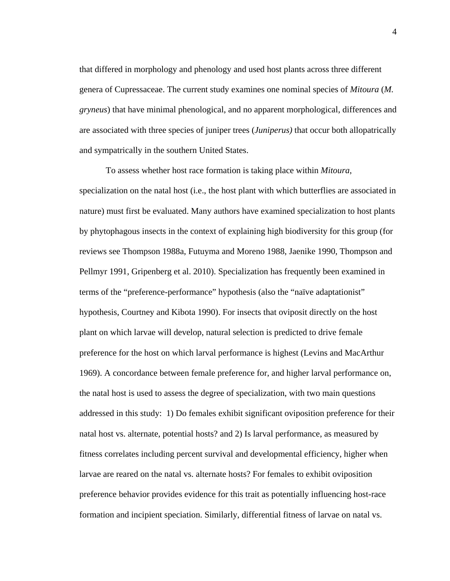that differed in morphology and phenology and used host plants across three different genera of Cupressaceae. The current study examines one nominal species of *Mitoura* (*M. gryneus*) that have minimal phenological, and no apparent morphological, differences and are associated with three species of juniper trees (*Juniperus)* that occur both allopatrically and sympatrically in the southern United States.

To assess whether host race formation is taking place within *Mitoura*, specialization on the natal host (i.e., the host plant with which butterflies are associated in nature) must first be evaluated. Many authors have examined specialization to host plants by phytophagous insects in the context of explaining high biodiversity for this group (for reviews see Thompson 1988a, Futuyma and Moreno 1988, Jaenike 1990, Thompson and Pellmyr 1991, Gripenberg et al. 2010). Specialization has frequently been examined in terms of the "preference-performance" hypothesis (also the "naïve adaptationist" hypothesis, Courtney and Kibota 1990). For insects that oviposit directly on the host plant on which larvae will develop, natural selection is predicted to drive female preference for the host on which larval performance is highest (Levins and MacArthur 1969). A concordance between female preference for, and higher larval performance on, the natal host is used to assess the degree of specialization, with two main questions addressed in this study: 1) Do females exhibit significant oviposition preference for their natal host vs. alternate, potential hosts? and 2) Is larval performance, as measured by fitness correlates including percent survival and developmental efficiency, higher when larvae are reared on the natal vs. alternate hosts? For females to exhibit oviposition preference behavior provides evidence for this trait as potentially influencing host-race formation and incipient speciation. Similarly, differential fitness of larvae on natal vs.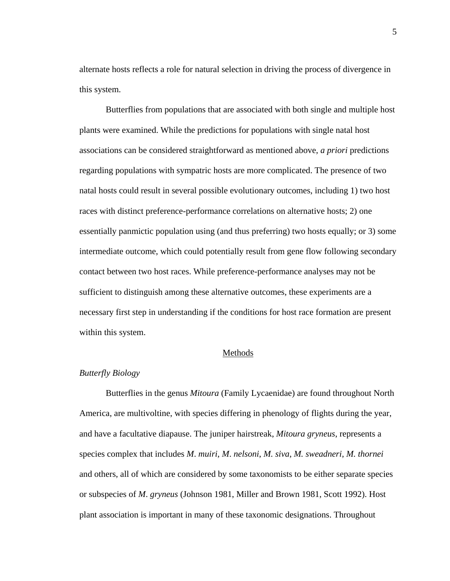alternate hosts reflects a role for natural selection in driving the process of divergence in this system.

Butterflies from populations that are associated with both single and multiple host plants were examined. While the predictions for populations with single natal host associations can be considered straightforward as mentioned above, *a priori* predictions regarding populations with sympatric hosts are more complicated. The presence of two natal hosts could result in several possible evolutionary outcomes, including 1) two host races with distinct preference-performance correlations on alternative hosts; 2) one essentially panmictic population using (and thus preferring) two hosts equally; or 3) some intermediate outcome, which could potentially result from gene flow following secondary contact between two host races. While preference-performance analyses may not be sufficient to distinguish among these alternative outcomes, these experiments are a necessary first step in understanding if the conditions for host race formation are present within this system.

#### Methods

## *Butterfly Biology*

Butterflies in the genus *Mitoura* (Family Lycaenidae) are found throughout North America, are multivoltine, with species differing in phenology of flights during the year, and have a facultative diapause. The juniper hairstreak, *Mitoura gryneus*, represents a species complex that includes *M*. *muiri*, *M*. *nelsoni*, *M. siva*, *M. sweadneri*, *M. thornei*  and others, all of which are considered by some taxonomists to be either separate species or subspecies of *M*. *gryneus* (Johnson 1981, Miller and Brown 1981, Scott 1992). Host plant association is important in many of these taxonomic designations. Throughout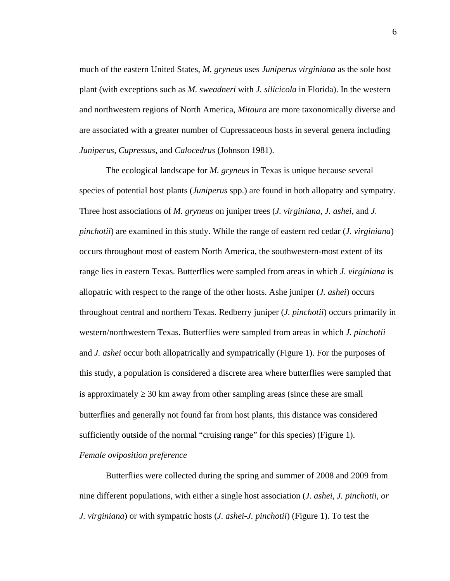much of the eastern United States, *M. gryneus* uses *Juniperus virginiana* as the sole host plant (with exceptions such as *M. sweadneri* with *J. silicicola* in Florida). In the western and northwestern regions of North America, *Mitoura* are more taxonomically diverse and are associated with a greater number of Cupressaceous hosts in several genera including *Juniperus*, *Cupressus*, and *Calocedrus* (Johnson 1981).

The ecological landscape for *M. gryneus* in Texas is unique because several species of potential host plants (*Juniperus* spp.) are found in both allopatry and sympatry. Three host associations of *M. gryneus* on juniper trees (*J. virginiana, J. ashei*, and *J. pinchotii*) are examined in this study. While the range of eastern red cedar (*J. virginiana*) occurs throughout most of eastern North America, the southwestern-most extent of its range lies in eastern Texas. Butterflies were sampled from areas in which *J. virginiana* is allopatric with respect to the range of the other hosts. Ashe juniper (*J. ashei*) occurs throughout central and northern Texas. Redberry juniper (*J. pinchotii*) occurs primarily in western/northwestern Texas. Butterflies were sampled from areas in which *J. pinchotii* and *J. ashei* occur both allopatrically and sympatrically (Figure 1). For the purposes of this study, a population is considered a discrete area where butterflies were sampled that is approximately  $\geq 30$  km away from other sampling areas (since these are small butterflies and generally not found far from host plants, this distance was considered sufficiently outside of the normal "cruising range" for this species) (Figure 1).

# *Female oviposition preference*

Butterflies were collected during the spring and summer of 2008 and 2009 from nine different populations, with either a single host association (*J. ashei, J. pinchotii, or J. virginiana*) or with sympatric hosts (*J. ashei-J. pinchotii*) (Figure 1). To test the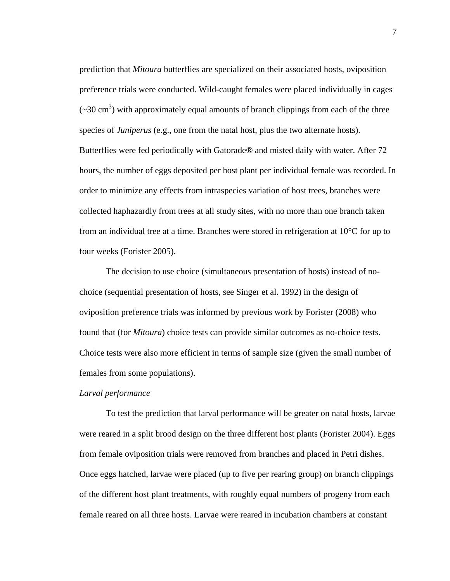prediction that *Mitoura* butterflies are specialized on their associated hosts, oviposition preference trials were conducted. Wild-caught females were placed individually in cages  $(\sim 30 \text{ cm}^3)$  with approximately equal amounts of branch clippings from each of the three species of *Juniperus* (e.g., one from the natal host, plus the two alternate hosts). Butterflies were fed periodically with Gatorade® and misted daily with water. After 72 hours, the number of eggs deposited per host plant per individual female was recorded. In order to minimize any effects from intraspecies variation of host trees, branches were collected haphazardly from trees at all study sites, with no more than one branch taken from an individual tree at a time. Branches were stored in refrigeration at  $10^{\circ}$ C for up to four weeks (Forister 2005).

The decision to use choice (simultaneous presentation of hosts) instead of nochoice (sequential presentation of hosts, see Singer et al. 1992) in the design of oviposition preference trials was informed by previous work by Forister (2008) who found that (for *Mitoura*) choice tests can provide similar outcomes as no-choice tests. Choice tests were also more efficient in terms of sample size (given the small number of females from some populations).

#### *Larval performance*

To test the prediction that larval performance will be greater on natal hosts, larvae were reared in a split brood design on the three different host plants (Forister 2004). Eggs from female oviposition trials were removed from branches and placed in Petri dishes. Once eggs hatched, larvae were placed (up to five per rearing group) on branch clippings of the different host plant treatments, with roughly equal numbers of progeny from each female reared on all three hosts. Larvae were reared in incubation chambers at constant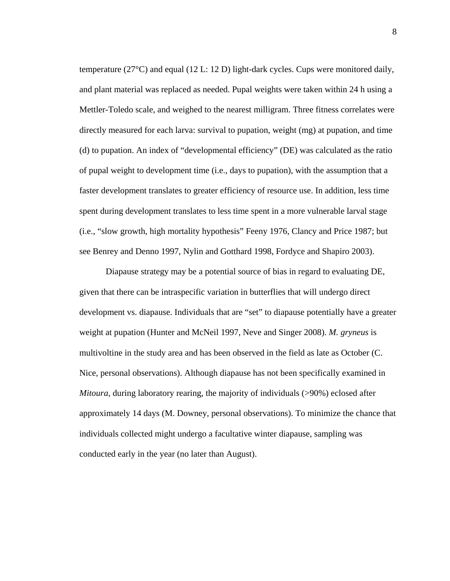temperature ( $27^{\circ}$ C) and equal (12 L: 12 D) light-dark cycles. Cups were monitored daily, and plant material was replaced as needed. Pupal weights were taken within 24 h using a Mettler-Toledo scale, and weighed to the nearest milligram. Three fitness correlates were directly measured for each larva: survival to pupation, weight (mg) at pupation, and time (d) to pupation. An index of "developmental efficiency" (DE) was calculated as the ratio of pupal weight to development time (i.e., days to pupation), with the assumption that a faster development translates to greater efficiency of resource use. In addition, less time spent during development translates to less time spent in a more vulnerable larval stage (i.e., "slow growth, high mortality hypothesis" Feeny 1976, Clancy and Price 1987; but see Benrey and Denno 1997, Nylin and Gotthard 1998, Fordyce and Shapiro 2003).

Diapause strategy may be a potential source of bias in regard to evaluating DE, given that there can be intraspecific variation in butterflies that will undergo direct development vs. diapause. Individuals that are "set" to diapause potentially have a greater weight at pupation (Hunter and McNeil 1997, Neve and Singer 2008). *M. gryneus* is multivoltine in the study area and has been observed in the field as late as October (C. Nice, personal observations). Although diapause has not been specifically examined in *Mitoura*, during laboratory rearing, the majority of individuals (>90%) eclosed after approximately 14 days (M. Downey, personal observations). To minimize the chance that individuals collected might undergo a facultative winter diapause, sampling was conducted early in the year (no later than August).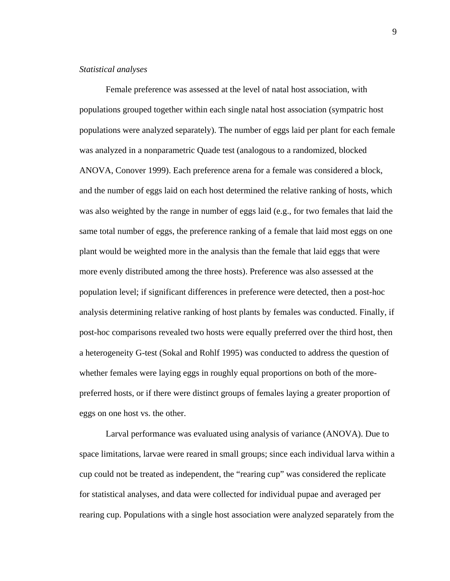#### *Statistical analyses*

Female preference was assessed at the level of natal host association, with populations grouped together within each single natal host association (sympatric host populations were analyzed separately). The number of eggs laid per plant for each female was analyzed in a nonparametric Quade test (analogous to a randomized, blocked ANOVA, Conover 1999). Each preference arena for a female was considered a block, and the number of eggs laid on each host determined the relative ranking of hosts, which was also weighted by the range in number of eggs laid (e.g., for two females that laid the same total number of eggs, the preference ranking of a female that laid most eggs on one plant would be weighted more in the analysis than the female that laid eggs that were more evenly distributed among the three hosts). Preference was also assessed at the population level; if significant differences in preference were detected, then a post-hoc analysis determining relative ranking of host plants by females was conducted. Finally, if post-hoc comparisons revealed two hosts were equally preferred over the third host, then a heterogeneity G-test (Sokal and Rohlf 1995) was conducted to address the question of whether females were laying eggs in roughly equal proportions on both of the morepreferred hosts, or if there were distinct groups of females laying a greater proportion of eggs on one host vs. the other.

Larval performance was evaluated using analysis of variance (ANOVA). Due to space limitations, larvae were reared in small groups; since each individual larva within a cup could not be treated as independent, the "rearing cup" was considered the replicate for statistical analyses, and data were collected for individual pupae and averaged per rearing cup. Populations with a single host association were analyzed separately from the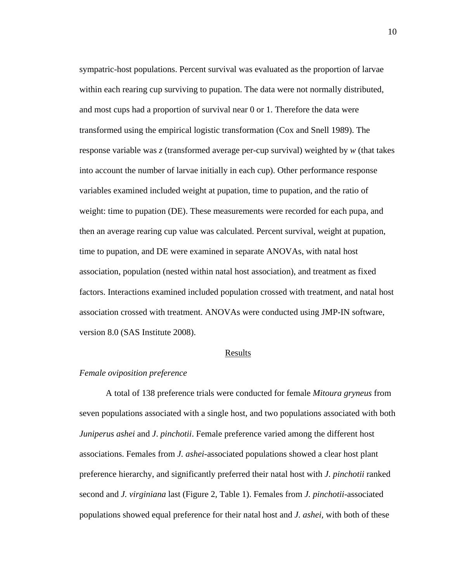sympatric-host populations. Percent survival was evaluated as the proportion of larvae within each rearing cup surviving to pupation. The data were not normally distributed, and most cups had a proportion of survival near 0 or 1. Therefore the data were transformed using the empirical logistic transformation (Cox and Snell 1989). The response variable was *z* (transformed average per-cup survival) weighted by *w* (that takes into account the number of larvae initially in each cup). Other performance response variables examined included weight at pupation, time to pupation, and the ratio of weight: time to pupation (DE). These measurements were recorded for each pupa, and then an average rearing cup value was calculated. Percent survival, weight at pupation, time to pupation, and DE were examined in separate ANOVAs, with natal host association, population (nested within natal host association), and treatment as fixed factors. Interactions examined included population crossed with treatment, and natal host association crossed with treatment. ANOVAs were conducted using JMP-IN software, version 8.0 (SAS Institute 2008).

#### Results

#### *Female oviposition preference*

A total of 138 preference trials were conducted for female *Mitoura gryneus* from seven populations associated with a single host, and two populations associated with both *Juniperus ashei* and *J*. *pinchotii*. Female preference varied among the different host associations. Females from *J. ashei-*associated populations showed a clear host plant preference hierarchy, and significantly preferred their natal host with *J. pinchotii* ranked second and *J. virginiana* last (Figure 2, Table 1). Females from *J. pinchotii-*associated populations showed equal preference for their natal host and *J. ashei,* with both of these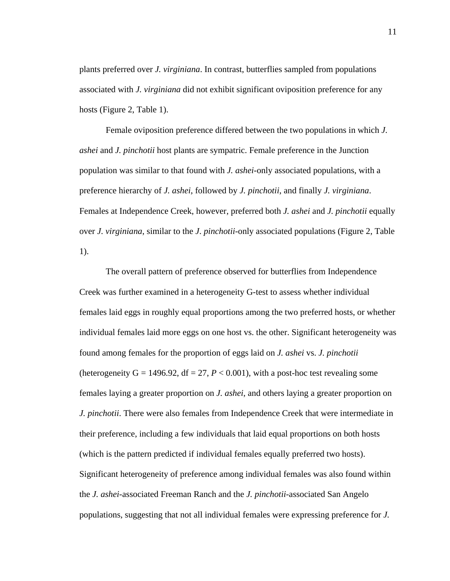plants preferred over *J. virginiana*. In contrast, butterflies sampled from populations associated with *J. virginiana* did not exhibit significant oviposition preference for any hosts (Figure 2, Table 1).

Female oviposition preference differed between the two populations in which *J. ashei* and *J. pinchotii* host plants are sympatric. Female preference in the Junction population was similar to that found with *J. ashei*-only associated populations, with a preference hierarchy of *J. ashei*, followed by *J. pinchotii*, and finally *J. virginiana*. Females at Independence Creek, however, preferred both *J. ashei* and *J. pinchotii* equally over *J. virginiana*, similar to the *J*. *pinchotii*-only associated populations (Figure 2, Table 1).

The overall pattern of preference observed for butterflies from Independence Creek was further examined in a heterogeneity G-test to assess whether individual females laid eggs in roughly equal proportions among the two preferred hosts, or whether individual females laid more eggs on one host vs. the other. Significant heterogeneity was found among females for the proportion of eggs laid on *J. ashei* vs. *J. pinchotii* (heterogeneity  $G = 1496.92$ ,  $df = 27$ ,  $P < 0.001$ ), with a post-hoc test revealing some females laying a greater proportion on *J. ashei*, and others laying a greater proportion on *J. pinchotii*. There were also females from Independence Creek that were intermediate in their preference, including a few individuals that laid equal proportions on both hosts (which is the pattern predicted if individual females equally preferred two hosts). Significant heterogeneity of preference among individual females was also found within the *J. ashei*-associated Freeman Ranch and the *J. pinchotii*-associated San Angelo populations, suggesting that not all individual females were expressing preference for *J.*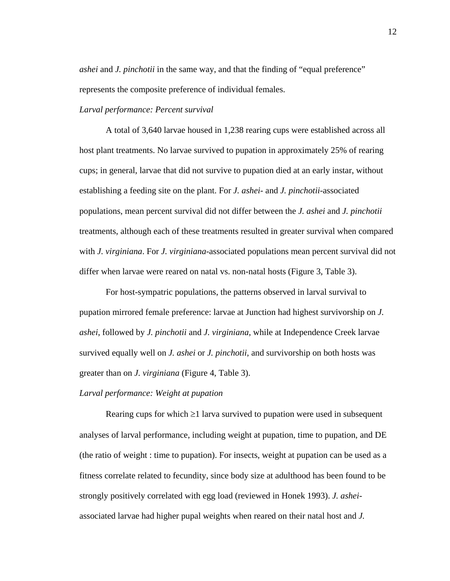*ashei* and *J. pinchotii* in the same way, and that the finding of "equal preference" represents the composite preference of individual females.

#### *Larval performance: Percent survival*

A total of 3,640 larvae housed in 1,238 rearing cups were established across all host plant treatments. No larvae survived to pupation in approximately 25% of rearing cups; in general, larvae that did not survive to pupation died at an early instar, without establishing a feeding site on the plant. For *J. ashei-* and *J. pinchotii-*associated populations, mean percent survival did not differ between the *J. ashei* and *J. pinchotii* treatments, although each of these treatments resulted in greater survival when compared with *J. virginiana*. For *J. virginiana-*associated populations mean percent survival did not differ when larvae were reared on natal vs. non-natal hosts (Figure 3, Table 3).

 For host-sympatric populations, the patterns observed in larval survival to pupation mirrored female preference: larvae at Junction had highest survivorship on *J. ashei*, followed by *J. pinchotii* and *J. virginiana*, while at Independence Creek larvae survived equally well on *J. ashei* or *J. pinchotii*, and survivorship on both hosts was greater than on *J. virginiana* (Figure 4, Table 3).

### *Larval performance: Weight at pupation*

Rearing cups for which  $\geq 1$  larva survived to pupation were used in subsequent analyses of larval performance, including weight at pupation, time to pupation, and DE (the ratio of weight : time to pupation). For insects, weight at pupation can be used as a fitness correlate related to fecundity, since body size at adulthood has been found to be strongly positively correlated with egg load (reviewed in Honek 1993). *J. ashei*associated larvae had higher pupal weights when reared on their natal host and *J.*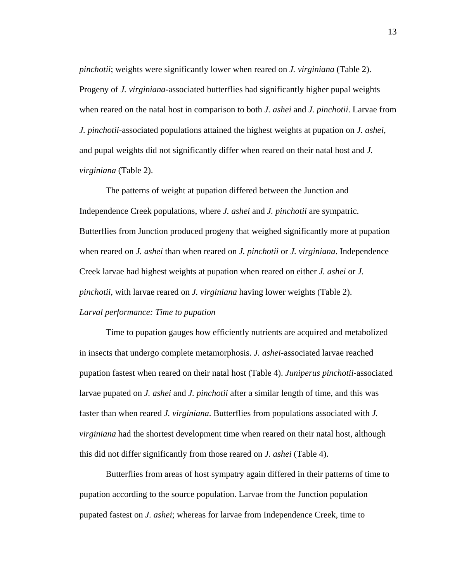*pinchotii*; weights were significantly lower when reared on *J. virginiana* (Table 2). Progeny of *J. virginiana*-associated butterflies had significantly higher pupal weights when reared on the natal host in comparison to both *J. ashei* and *J. pinchotii*. Larvae from *J. pinchotii*-associated populations attained the highest weights at pupation on *J. ashei*, and pupal weights did not significantly differ when reared on their natal host and *J. virginiana* (Table 2).

 The patterns of weight at pupation differed between the Junction and Independence Creek populations, where *J. ashei* and *J. pinchotii* are sympatric. Butterflies from Junction produced progeny that weighed significantly more at pupation when reared on *J. ashei* than when reared on *J. pinchotii* or *J. virginiana*. Independence Creek larvae had highest weights at pupation when reared on either *J. ashei* or *J. pinchotii*, with larvae reared on *J. virginiana* having lower weights (Table 2). *Larval performance: Time to pupation* 

Time to pupation gauges how efficiently nutrients are acquired and metabolized in insects that undergo complete metamorphosis. *J. ashei*-associated larvae reached pupation fastest when reared on their natal host (Table 4). *Juniperus pinchotii*-associated larvae pupated on *J. ashei* and *J. pinchotii* after a similar length of time, and this was faster than when reared *J. virginiana*. Butterflies from populations associated with *J. virginiana* had the shortest development time when reared on their natal host, although this did not differ significantly from those reared on *J. ashei* (Table 4).

Butterflies from areas of host sympatry again differed in their patterns of time to pupation according to the source population. Larvae from the Junction population pupated fastest on *J. ashei*; whereas for larvae from Independence Creek, time to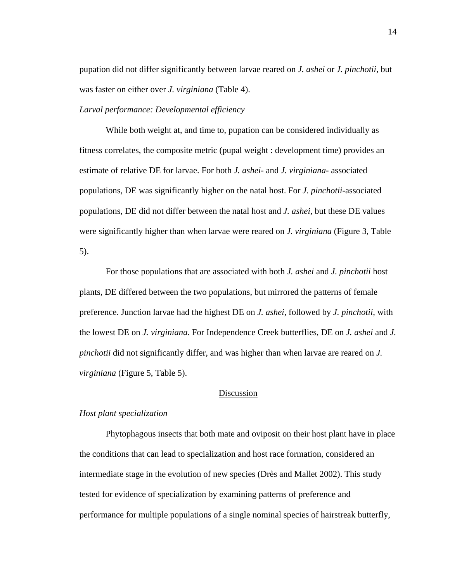pupation did not differ significantly between larvae reared on *J. ashei* or *J. pinchotii*, but was faster on either over *J. virginiana* (Table 4).

#### *Larval performance: Developmental efficiency*

While both weight at, and time to, pupation can be considered individually as fitness correlates, the composite metric (pupal weight : development time) provides an estimate of relative DE for larvae. For both *J. ashei-* and *J. virginiana*- associated populations, DE was significantly higher on the natal host. For *J. pinchotii*-associated populations, DE did not differ between the natal host and *J. ashei*, but these DE values were significantly higher than when larvae were reared on *J. virginiana* (Figure 3, Table 5).

For those populations that are associated with both *J. ashei* and *J. pinchotii* host plants, DE differed between the two populations, but mirrored the patterns of female preference. Junction larvae had the highest DE on *J. ashei*, followed by *J. pinchotii*, with the lowest DE on *J. virginiana*. For Independence Creek butterflies, DE on *J. ashei* and *J. pinchotii* did not significantly differ, and was higher than when larvae are reared on *J. virginiana* (Figure 5, Table 5).

### Discussion

### *Host plant specialization*

Phytophagous insects that both mate and oviposit on their host plant have in place the conditions that can lead to specialization and host race formation, considered an intermediate stage in the evolution of new species (Drès and Mallet 2002). This study tested for evidence of specialization by examining patterns of preference and performance for multiple populations of a single nominal species of hairstreak butterfly,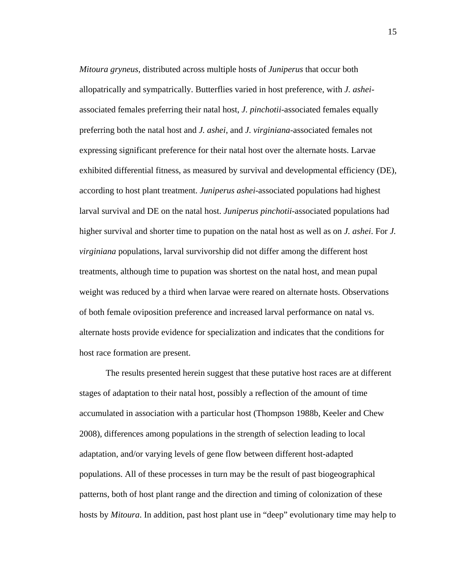*Mitoura gryneus*, distributed across multiple hosts of *Juniperus* that occur both allopatrically and sympatrically. Butterflies varied in host preference, with *J. ashei*associated females preferring their natal host, *J. pinchotii*-associated females equally preferring both the natal host and *J. ashei*, and *J. virginiana*-associated females not expressing significant preference for their natal host over the alternate hosts. Larvae exhibited differential fitness, as measured by survival and developmental efficiency (DE), according to host plant treatment. *Juniperus ashei*-associated populations had highest larval survival and DE on the natal host. *Juniperus pinchotii*-associated populations had higher survival and shorter time to pupation on the natal host as well as on *J. ashei*. For *J. virginiana* populations, larval survivorship did not differ among the different host treatments, although time to pupation was shortest on the natal host, and mean pupal weight was reduced by a third when larvae were reared on alternate hosts. Observations of both female oviposition preference and increased larval performance on natal vs. alternate hosts provide evidence for specialization and indicates that the conditions for host race formation are present.

The results presented herein suggest that these putative host races are at different stages of adaptation to their natal host, possibly a reflection of the amount of time accumulated in association with a particular host (Thompson 1988b, Keeler and Chew 2008), differences among populations in the strength of selection leading to local adaptation, and/or varying levels of gene flow between different host-adapted populations. All of these processes in turn may be the result of past biogeographical patterns, both of host plant range and the direction and timing of colonization of these hosts by *Mitoura*. In addition, past host plant use in "deep" evolutionary time may help to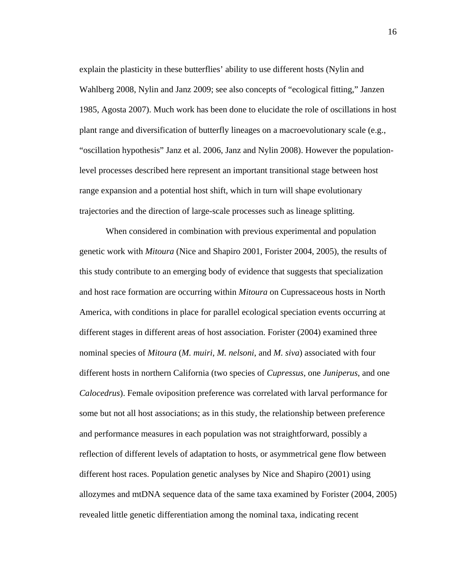explain the plasticity in these butterflies' ability to use different hosts (Nylin and Wahlberg 2008, Nylin and Janz 2009; see also concepts of "ecological fitting," Janzen 1985, Agosta 2007). Much work has been done to elucidate the role of oscillations in host plant range and diversification of butterfly lineages on a macroevolutionary scale (e.g., "oscillation hypothesis" Janz et al. 2006, Janz and Nylin 2008). However the populationlevel processes described here represent an important transitional stage between host range expansion and a potential host shift, which in turn will shape evolutionary trajectories and the direction of large-scale processes such as lineage splitting.

When considered in combination with previous experimental and population genetic work with *Mitoura* (Nice and Shapiro 2001, Forister 2004, 2005), the results of this study contribute to an emerging body of evidence that suggests that specialization and host race formation are occurring within *Mitoura* on Cupressaceous hosts in North America, with conditions in place for parallel ecological speciation events occurring at different stages in different areas of host association. Forister (2004) examined three nominal species of *Mitoura* (*M. muiri, M. nelsoni*, and *M. siva*) associated with four different hosts in northern California (two species of *Cupressus*, one *Juniperus*, and one *Calocedrus*). Female oviposition preference was correlated with larval performance for some but not all host associations; as in this study, the relationship between preference and performance measures in each population was not straightforward, possibly a reflection of different levels of adaptation to hosts, or asymmetrical gene flow between different host races. Population genetic analyses by Nice and Shapiro (2001) using allozymes and mtDNA sequence data of the same taxa examined by Forister (2004, 2005) revealed little genetic differentiation among the nominal taxa, indicating recent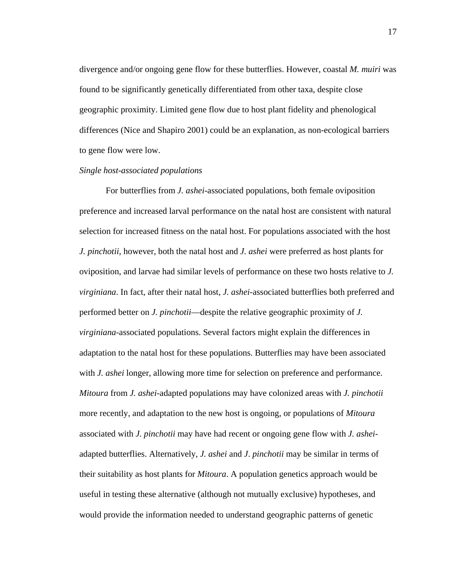divergence and/or ongoing gene flow for these butterflies. However, coastal *M. muiri* was found to be significantly genetically differentiated from other taxa, despite close geographic proximity. Limited gene flow due to host plant fidelity and phenological differences (Nice and Shapiro 2001) could be an explanation, as non-ecological barriers to gene flow were low.

#### *Single host-associated populations*

For butterflies from *J. ashei*-associated populations, both female oviposition preference and increased larval performance on the natal host are consistent with natural selection for increased fitness on the natal host. For populations associated with the host *J. pinchotii*, however, both the natal host and *J. ashei* were preferred as host plants for oviposition, and larvae had similar levels of performance on these two hosts relative to *J. virginiana*. In fact, after their natal host, *J. ashei*-associated butterflies both preferred and performed better on *J. pinchotii*—despite the relative geographic proximity of *J. virginiana-*associated populations. Several factors might explain the differences in adaptation to the natal host for these populations. Butterflies may have been associated with *J. ashei* longer, allowing more time for selection on preference and performance. *Mitoura* from *J. ashei-*adapted populations may have colonized areas with *J. pinchotii* more recently, and adaptation to the new host is ongoing, or populations of *Mitoura* associated with *J. pinchotii* may have had recent or ongoing gene flow with *J. ashei*adapted butterflies. Alternatively, *J. ashei* and *J*. *pinchotii* may be similar in terms of their suitability as host plants for *Mitoura*. A population genetics approach would be useful in testing these alternative (although not mutually exclusive) hypotheses, and would provide the information needed to understand geographic patterns of genetic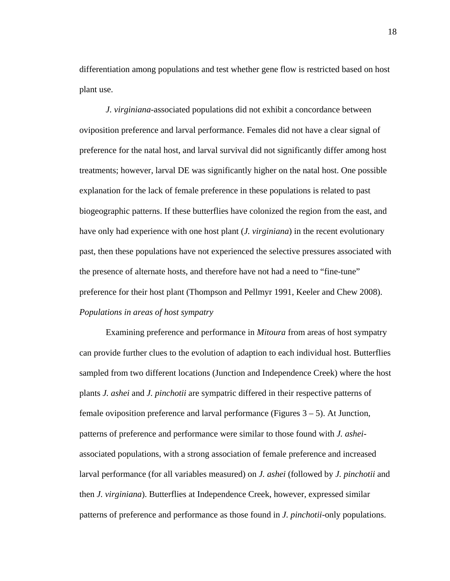differentiation among populations and test whether gene flow is restricted based on host plant use.

*J. virginiana*-associated populations did not exhibit a concordance between oviposition preference and larval performance. Females did not have a clear signal of preference for the natal host, and larval survival did not significantly differ among host treatments; however, larval DE was significantly higher on the natal host. One possible explanation for the lack of female preference in these populations is related to past biogeographic patterns. If these butterflies have colonized the region from the east, and have only had experience with one host plant (*J. virginiana*) in the recent evolutionary past, then these populations have not experienced the selective pressures associated with the presence of alternate hosts, and therefore have not had a need to "fine-tune" preference for their host plant (Thompson and Pellmyr 1991, Keeler and Chew 2008). *Populations in areas of host sympatry* 

 Examining preference and performance in *Mitoura* from areas of host sympatry can provide further clues to the evolution of adaption to each individual host. Butterflies sampled from two different locations (Junction and Independence Creek) where the host plants *J. ashei* and *J. pinchotii* are sympatric differed in their respective patterns of female oviposition preference and larval performance (Figures 3 – 5). At Junction, patterns of preference and performance were similar to those found with *J. ashei*associated populations, with a strong association of female preference and increased larval performance (for all variables measured) on *J. ashei* (followed by *J. pinchotii* and then *J. virginiana*). Butterflies at Independence Creek, however, expressed similar patterns of preference and performance as those found in *J. pinchotii*-only populations.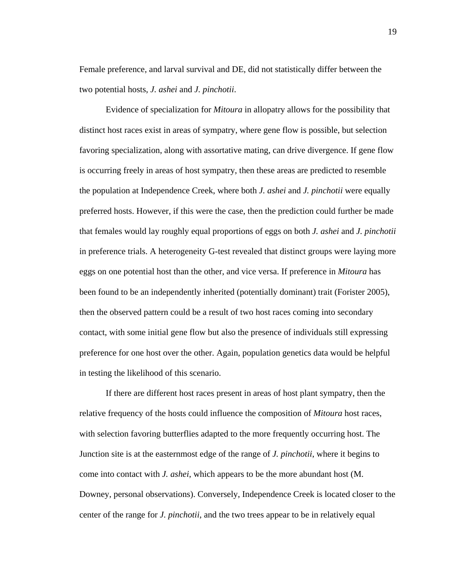Female preference, and larval survival and DE, did not statistically differ between the two potential hosts, *J. ashei* and *J. pinchotii*.

Evidence of specialization for *Mitoura* in allopatry allows for the possibility that distinct host races exist in areas of sympatry, where gene flow is possible, but selection favoring specialization, along with assortative mating, can drive divergence. If gene flow is occurring freely in areas of host sympatry, then these areas are predicted to resemble the population at Independence Creek, where both *J. ashei* and *J. pinchotii* were equally preferred hosts. However, if this were the case, then the prediction could further be made that females would lay roughly equal proportions of eggs on both *J. ashei* and *J. pinchotii*  in preference trials. A heterogeneity G-test revealed that distinct groups were laying more eggs on one potential host than the other, and vice versa. If preference in *Mitoura* has been found to be an independently inherited (potentially dominant) trait (Forister 2005), then the observed pattern could be a result of two host races coming into secondary contact, with some initial gene flow but also the presence of individuals still expressing preference for one host over the other. Again, population genetics data would be helpful in testing the likelihood of this scenario.

If there are different host races present in areas of host plant sympatry, then the relative frequency of the hosts could influence the composition of *Mitoura* host races, with selection favoring butterflies adapted to the more frequently occurring host. The Junction site is at the easternmost edge of the range of *J. pinchotii*, where it begins to come into contact with *J. ashei*, which appears to be the more abundant host (M. Downey, personal observations). Conversely, Independence Creek is located closer to the center of the range for *J. pinchotii*, and the two trees appear to be in relatively equal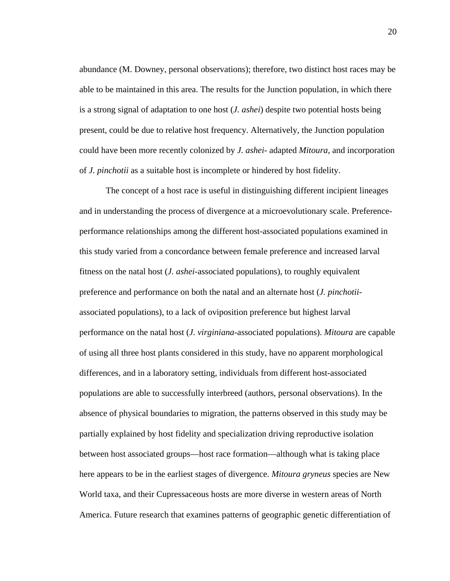abundance (M. Downey, personal observations); therefore, two distinct host races may be able to be maintained in this area. The results for the Junction population, in which there is a strong signal of adaptation to one host (*J. ashei*) despite two potential hosts being present, could be due to relative host frequency. Alternatively, the Junction population could have been more recently colonized by *J. ashei*- adapted *Mitoura*, and incorporation of *J. pinchotii* as a suitable host is incomplete or hindered by host fidelity.

The concept of a host race is useful in distinguishing different incipient lineages and in understanding the process of divergence at a microevolutionary scale. Preferenceperformance relationships among the different host-associated populations examined in this study varied from a concordance between female preference and increased larval fitness on the natal host (*J. ashei*-associated populations), to roughly equivalent preference and performance on both the natal and an alternate host (*J. pinchotii*associated populations), to a lack of oviposition preference but highest larval performance on the natal host (*J. virginiana*-associated populations). *Mitoura* are capable of using all three host plants considered in this study, have no apparent morphological differences, and in a laboratory setting, individuals from different host-associated populations are able to successfully interbreed (authors, personal observations). In the absence of physical boundaries to migration, the patterns observed in this study may be partially explained by host fidelity and specialization driving reproductive isolation between host associated groups—host race formation—although what is taking place here appears to be in the earliest stages of divergence. *Mitoura gryneus* species are New World taxa, and their Cupressaceous hosts are more diverse in western areas of North America. Future research that examines patterns of geographic genetic differentiation of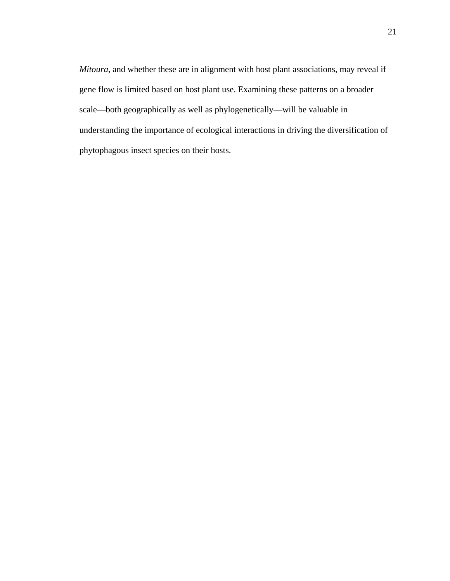*Mitoura,* and whether these are in alignment with host plant associations, may reveal if gene flow is limited based on host plant use. Examining these patterns on a broader scale—both geographically as well as phylogenetically—will be valuable in understanding the importance of ecological interactions in driving the diversification of phytophagous insect species on their hosts.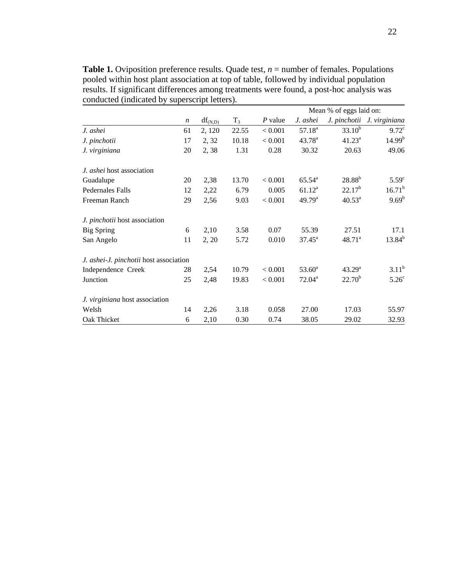**Table 1.** Oviposition preference results. Quade test,  $n =$  number of females. Populations pooled within host plant association at top of table, followed by individual population results. If significant differences among treatments were found, a post-hoc analysis was conducted (indicated by superscript letters).

|                                        |                  |                          |       |         | Mean % of eggs laid on: |                    |                            |  |
|----------------------------------------|------------------|--------------------------|-------|---------|-------------------------|--------------------|----------------------------|--|
|                                        | $\boldsymbol{n}$ | $df_{(N,\underline{D})}$ | $T_3$ | P value | J. ashei                |                    | J. pinchotii J. virginiana |  |
| J. ashei                               | 61               | 2, 120                   | 22.55 | < 0.001 | $57.18^{a}$             | $33.10^{b}$        | $9.72^{\circ}$             |  |
| J. pinchotii                           | 17               | 2, 32                    | 10.18 | < 0.001 | $43.78^{a}$             | $41.23^a$          | 14.99 <sup>b</sup>         |  |
| J. virginiana                          | 20               | 2,38                     | 1.31  | 0.28    | 30.32                   | 20.63              | 49.06                      |  |
| J. ashei host association              |                  |                          |       |         |                         |                    |                            |  |
| Guadalupe                              | 20               | 2,38                     | 13.70 | < 0.001 | $65.54^{\circ}$         | $28.88^{b}$        | $5.59^{\circ}$             |  |
| <b>Pedernales Falls</b>                | 12               | 2,22                     | 6.79  | 0.005   | $61.12^a$               | $22.17^b$          | $16.71^{b}$                |  |
| Freeman Ranch                          | 29               | 2,56                     | 9.03  | < 0.001 | 49.79 <sup>a</sup>      | $40.53^{\text{a}}$ | $9.69^b$                   |  |
| J. pinchotii host association          |                  |                          |       |         |                         |                    |                            |  |
| <b>Big Spring</b>                      | 6                | 2,10                     | 3.58  | 0.07    | 55.39                   | 27.51              | 17.1                       |  |
| San Angelo                             | 11               | 2, 20                    | 5.72  | 0.010   | $37.45^{\circ}$         | 48.71 <sup>a</sup> | $13.84^{b}$                |  |
| J. ashei-J. pinchotii host association |                  |                          |       |         |                         |                    |                            |  |
| Independence Creek                     | 28               | 2,54                     | 10.79 | < 0.001 | $53.60^{\rm a}$         | 43.29 <sup>a</sup> | $3.11^b$                   |  |
| Junction                               | 25               | 2,48                     | 19.83 | < 0.001 | $72.04^{\text{a}}$      | $22.70^b$          | 5.26 <sup>c</sup>          |  |
| J. virginiana host association         |                  |                          |       |         |                         |                    |                            |  |
| Welsh                                  | 14               | 2,26                     | 3.18  | 0.058   | 27.00                   | 17.03              | 55.97                      |  |
| Oak Thicket                            | 6                | 2,10                     | 0.30  | 0.74    | 38.05                   | 29.02              | 32.93                      |  |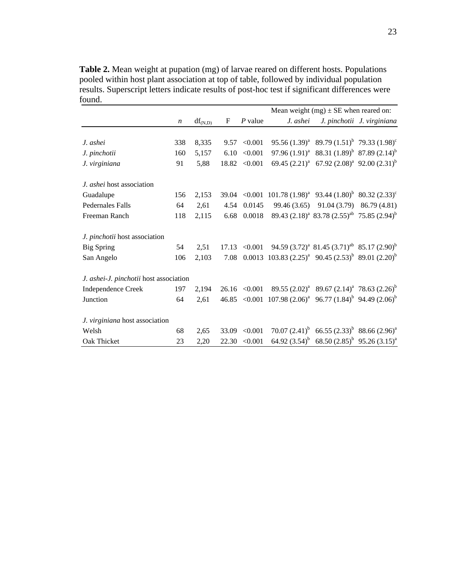**Table 2.** Mean weight at pupation (mg) of larvae reared on different hosts. Populations pooled within host plant association at top of table, followed by individual population results. Superscript letters indicate results of post-hoc test if significant differences were found.

|                                        |                  |              |       |                   | Mean weight $(mg) \pm SE$ when reared on:                         |                                                       |                             |  |  |
|----------------------------------------|------------------|--------------|-------|-------------------|-------------------------------------------------------------------|-------------------------------------------------------|-----------------------------|--|--|
|                                        | $\boldsymbol{n}$ | $df_{(N,D)}$ | F     | $P$ value         | J. ashei                                                          |                                                       | J. pinchotii J. virginiana  |  |  |
|                                        |                  |              |       |                   |                                                                   |                                                       |                             |  |  |
| J. ashei                               | 338              | 8,335        |       | 9.57 < 0.001      |                                                                   | 95.56 $(1.39)^a$ 89.79 $(1.51)^b$ 79.33 $(1.98)^c$    |                             |  |  |
| J. pinchotii                           | 160              | 5,157        | 6.10  | < 0.001           |                                                                   | 97.96 $(1.91)^a$ 88.31 $(1.89)^b$ 87.89 $(2.14)^b$    |                             |  |  |
| J. virginiana                          | 91               | 5,88         |       | $18.82 \le 0.001$ |                                                                   | 69.45 $(2.21)^a$ 67.92 $(2.08)^a$ 92.00 $(2.31)^b$    |                             |  |  |
| <i>J. ashei</i> host association       |                  |              |       |                   |                                                                   |                                                       |                             |  |  |
| Guadalupe                              | 156              | 2,153        |       |                   | 39.04 < 0.001 101.78 $(1.98)^a$ 93.44 $(1.80)^b$ 80.32 $(2.33)^c$ |                                                       |                             |  |  |
| <b>Pedernales Falls</b>                | 64               | 2,61         | 4.54  | 0.0145            | 99.46 (3.65)                                                      |                                                       | $91.04(3.79)$ $86.79(4.81)$ |  |  |
| Freeman Ranch                          | 118              | 2,115        | 6.68  | 0.0018            |                                                                   | 89.43 $(2.18)^a$ 83.78 $(2.55)^{ab}$ 75.85 $(2.94)^b$ |                             |  |  |
| J. pinchotii host association          |                  |              |       |                   |                                                                   |                                                       |                             |  |  |
| <b>Big Spring</b>                      | 54               | 2,51         |       | $17.13 \le 0.001$ |                                                                   | 94.59 $(3.72)^a$ 81.45 $(3.71)^{ab}$ 85.17 $(2.90)^b$ |                             |  |  |
| San Angelo                             | 106              | 2,103        | 7.08  |                   | 0.0013 103.83 $(2.25)^a$ 90.45 $(2.53)^b$ 89.01 $(2.20)^b$        |                                                       |                             |  |  |
| J. ashei-J. pinchotii host association |                  |              |       |                   |                                                                   |                                                       |                             |  |  |
| <b>Independence Creek</b>              | 197              | 2,194        |       | $26.16 \le 0.001$ |                                                                   | $89.55 (2.02)^a$ 89.67 $(2.14)^a$ 78.63 $(2.26)^b$    |                             |  |  |
| Junction                               | 64               | 2,61         |       |                   | 46.85 < 0.001 107.98 $(2.06)^a$ 96.77 $(1.84)^b$ 94.49 $(2.06)^b$ |                                                       |                             |  |  |
| J. virginiana host association         |                  |              |       |                   |                                                                   |                                                       |                             |  |  |
| Welsh                                  | 68               | 2,65         | 33.09 | < 0.001           |                                                                   | 70.07 $(2.41)^b$ 66.55 $(2.33)^b$ 88.66 $(2.96)^a$    |                             |  |  |
| Oak Thicket                            | 23               | 2,20         | 22.30 | < 0.001           |                                                                   | 64.92 $(3.54)^b$ 68.50 $(2.85)^b$ 95.26 $(3.15)^a$    |                             |  |  |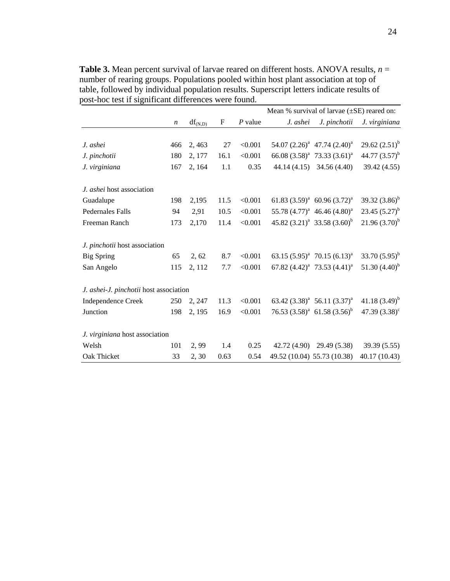Mean % survival of larvae ( $\pm$ SE) reared on: *n* df(N,D) F *P* value *J. ashei J. pinchotii J. virginiana J. ashei* 466 2, 463 27 <0.001 54.07 (2.26)<sup>a</sup> 47.74 (2.40)<sup>a</sup> 29.62  $(2.51)^{b}$ *J. pinchotii* 180 2, 177 16.1 < 0.001 66.08 (3.58)<sup>a</sup> 73.33 (3.61)<sup>a</sup> 44.77  $(3.57)^{b}$ *J. virginiana* 167 2, 164 1.1 0.35 44.14 (4.15) 34.56 (4.40) 39.42 (4.55) *J. ashei* host association Guadalupe 198 2,195 11.5  $\langle 0.001 \quad 61.83 \, (3.59)^a \quad 60.96 \, (3.72)^a$ 39.32  $(3.86)^b$ Pedernales Falls 94 2,91 10.5 < 0.001 55.78 (4.77)<sup>a</sup> 46.46 (4.80)<sup>a</sup> 23.45  $(5.27)^b$ Freeman Ranch 173 2,170 11.4  $\leq 0.001$  45.82 (3.21)<sup>a</sup> 33.58 (3.60)<sup>b</sup>  $21.96(3.70)^{b}$ *J. pinchotii* host association Big Spring 65 2, 62 8.7 < 0.001 63.15  $(5.95)^a$  70.15  $(6.13)^a$ 33.70  $(5.95)^b$ San Angelo 115 2, 112 7.7  $\leq 0.001$  67.82  $(4.42)^{a}$  73.53  $(4.41)^{a}$ 51.30  $(4.40)^{b}$ *J. ashei-J. pinchotii* host association Independence Creek 250 2, 247 11.3  $\leq 0.001$  63.42 (3.38)<sup>a</sup> 56.11 (3.37)<sup>a</sup> 41.18 $(3.49)^{b}$ Junction 198 2, 195 16.9 < 0.001 76.53  $(3.58)^a$  61.58  $(3.56)^b$ 47.39  $(3.38)^c$ *J. virginiana* host association Welsh 101 2, 99 1.4 0.25 42.72 (4.90) 29.49 (5.38) 39.39 (5.55) Oak Thicket 33 2, 30 0.63 0.54 49.52 (10.04) 55.73 (10.38) 40.17 (10.43)

**Table 3.** Mean percent survival of larvae reared on different hosts. ANOVA results, *n* = number of rearing groups. Populations pooled within host plant association at top of table, followed by individual population results. Superscript letters indicate results of post-hoc test if significant differences were found.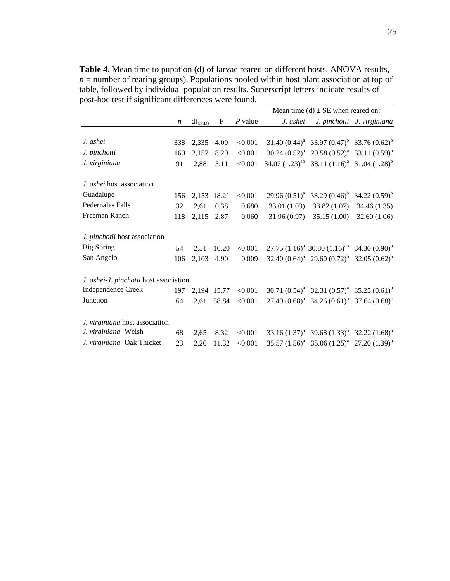**Table 4.** Mean time to pupation (d) of larvae reared on different hosts. ANOVA results,  $n =$  number of rearing groups). Populations pooled within host plant association at top of table, followed by individual population results. Superscript letters indicate results of post-hoc test if significant differences were found.

|                                        | Mean time (d) $\pm$ SE when reared on: |              |             |           |             |                                                           |                            |
|----------------------------------------|----------------------------------------|--------------|-------------|-----------|-------------|-----------------------------------------------------------|----------------------------|
|                                        | $\boldsymbol{n}$                       | $df_{(N,D)}$ | F           | $P$ value | J. ashei    |                                                           | J. pinchotii J. virginiana |
|                                        |                                        |              |             |           |             |                                                           |                            |
| J. ashei                               | 338                                    | 2.335        | 4.09        | < 0.001   |             | 31.40 $(0.44)^a$ 33.97 $(0.47)^b$ 33.76 $(0.62)^b$        |                            |
| J. pinchotii                           | 160                                    | 2.157        | 8.20        | < 0.001   |             | 30.24 $(0.52)^a$ 29.58 $(0.52)^a$ 33.11 $(0.59)^b$        |                            |
| J. virginiana                          | 91                                     | 2.88         | 5.11        | < 0.001   |             | 34.07 $(1.23)^{ab}$ 38.11 $(1.16)^{a}$ 31.04 $(1.28)^{b}$ |                            |
| J. ashei host association              |                                        |              |             |           |             |                                                           |                            |
| Guadalupe                              | 156                                    | 2,153        | 18.21       | < 0.001   |             | 29.96 $(0.51)^a$ 33.29 $(0.46)^b$ 34.22 $(0.59)^b$        |                            |
| <b>Pedernales Falls</b>                | 32                                     | 2.61         | 0.38        | 0.680     | 33.01(1.03) | 33.82 (1.07)                                              | 34.46 (1.35)               |
| Freeman Ranch                          | 118                                    | 2,115        | 2.87        | 0.060     | 31.96(0.97) | 35.15(1.00)                                               | 32.60 (1.06)               |
| J. pinchotii host association          |                                        |              |             |           |             |                                                           |                            |
| <b>Big Spring</b>                      | 54                                     | 2.51         | 10.20       | < 0.001   |             | 27.75 $(1.16)^a$ 30.80 $(1.16)^{ab}$ 34.30 $(0.90)^b$     |                            |
| San Angelo                             | 106                                    | 2,103        | 4.90        | 0.009     |             | 32.40 $(0.64)^a$ 29.60 $(0.72)^b$ 32.05 $(0.62)^a$        |                            |
| J. ashei-J. pinchotii host association |                                        |              |             |           |             |                                                           |                            |
| <b>Independence Creek</b>              | 197                                    |              | 2,194 15.77 | < 0.001   |             | 30.71 $(0.54)^a$ 32.31 $(0.57)^a$ 35.25 $(0.61)^b$        |                            |
| Junction                               | 64                                     | 2,61         | 58.84       | < 0.001   |             | 27.49 $(0.68)^a$ 34.26 $(0.61)^b$ 37.64 $(0.68)^c$        |                            |
| J. virginiana host association         |                                        |              |             |           |             |                                                           |                            |
| J. virginiana Welsh                    | 68                                     | 2.65         | 8.32        | < 0.001   |             | 33.16 $(1.37)^a$ 39.68 $(1.33)^b$ 32.22 $(1.68)^a$        |                            |
| J. virginiana Oak Thicket              | 23                                     | 2,20         | 11.32       | < 0.001   |             | 35.57 $(1.56)^a$ 35.06 $(1.25)^a$ 27.20 $(1.39)^b$        |                            |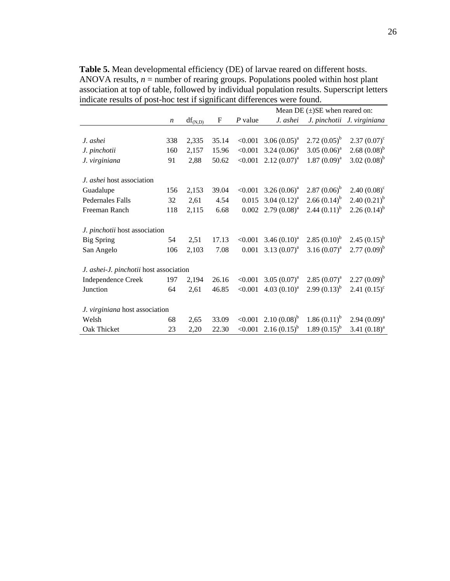**Table 5.** Mean developmental efficiency (DE) of larvae reared on different hosts. ANOVA results,  $n =$  number of rearing groups. Populations pooled within host plant association at top of table, followed by individual population results. Superscript letters indicate results of post-hoc test if significant differences were found.

|                                        |                  |              |       | Mean DE $(\pm)$ SE when reared on: |                  |                   |                            |  |
|----------------------------------------|------------------|--------------|-------|------------------------------------|------------------|-------------------|----------------------------|--|
|                                        | $\boldsymbol{n}$ | $df_{(N,D)}$ | F     | P value                            | J. ashei         |                   | J. pinchotii J. virginiana |  |
|                                        |                  |              |       |                                    |                  |                   |                            |  |
| J. ashei                               | 338              | 2,335        | 35.14 | < 0.001                            | 3.06 $(0.05)^a$  | $2.72(0.05)^{b}$  | $2.37(0.07)^c$             |  |
| J. pinchotii                           | 160              | 2,157        | 15.96 | < 0.001                            | $3.24 (0.06)^a$  | 3.05 $(0.06)^a$   | $2.68(0.08)^{b}$           |  |
| J. virginiana                          | 91               | 2,88         | 50.62 | < 0.001                            | $2.12(0.07)^{a}$ | $1.87(0.09)^a$    | 3.02 $(0.08)^{b}$          |  |
| J. ashei host association              |                  |              |       |                                    |                  |                   |                            |  |
| Guadalupe                              | 156              | 2,153        | 39.04 | < 0.001                            | 3.26 $(0.06)^a$  | $2.87(0.06)^{b}$  | $2.40(0.08)^c$             |  |
| <b>Pedernales Falls</b>                | 32               | 2,61         | 4.54  | 0.015                              | 3.04 $(0.12)^a$  | 2.66 $(0.14)^{b}$ | 2.40 $(0.21)^{b}$          |  |
| Freeman Ranch                          | 118              | 2,115        | 6.68  | 0.002                              | $2.79(0.08)^a$   | 2.44 $(0.11)^{b}$ | 2.26 $(0.14)^{b}$          |  |
| J. pinchotii host association          |                  |              |       |                                    |                  |                   |                            |  |
| <b>Big Spring</b>                      | 54               | 2,51         | 17.13 | < 0.001                            | 3.46 $(0.10)^a$  | $2.85(0.10)^{b}$  | 2.45 $(0.15)^{b}$          |  |
| San Angelo                             | 106              | 2,103        | 7.08  | 0.001                              | 3.13 $(0.07)^a$  | 3.16 $(0.07)^a$   | $2.77(0.09)^{b}$           |  |
| J. ashei-J. pinchotii host association |                  |              |       |                                    |                  |                   |                            |  |
| <b>Independence Creek</b>              | 197              | 2,194        | 26.16 | < 0.001                            | 3.05 $(0.07)^a$  | $2.85(0.07)^{a}$  | $2.27(0.09)^{b}$           |  |
| Junction                               | 64               | 2,61         | 46.85 | < 0.001                            | 4.03 $(0.10)^a$  | $2.99(0.13)^{b}$  | $2.41 (0.15)^c$            |  |
| J. virginiana host association         |                  |              |       |                                    |                  |                   |                            |  |
| Welsh                                  | 68               | 2,65         | 33.09 | < 0.001                            | $2.10(0.08)^{b}$ | $1.86(0.11)^{b}$  | $2.94(0.09)^{a}$           |  |
| Oak Thicket                            | 23               | 2,20         | 22.30 | < 0.001                            | $2.16(0.15)^{b}$ | $1.89(0.15)^{b}$  | 3.41 $(0.18)^a$            |  |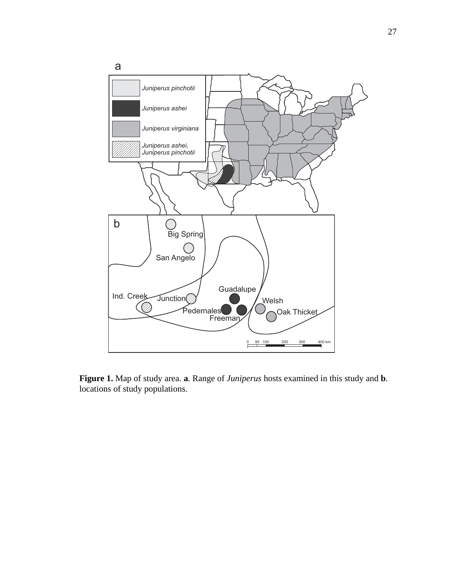

**Figure 1.** Map of study area. **a**. Range of *Juniperus* hosts examined in this study and **b**. locations of study populations.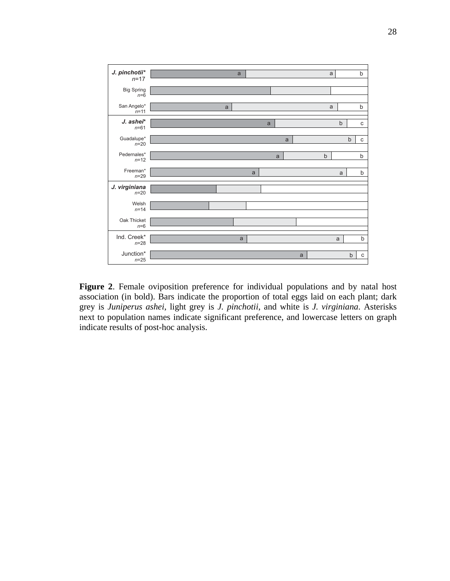

**Figure 2**. Female oviposition preference for individual populations and by natal host association (in bold). Bars indicate the proportion of total eggs laid on each plant; dark grey is *Juniperus ashei*, light grey is *J. pinchotii*, and white is *J. virginiana*. Asterisks next to population names indicate significant preference, and lowercase letters on graph indicate results of post-hoc analysis.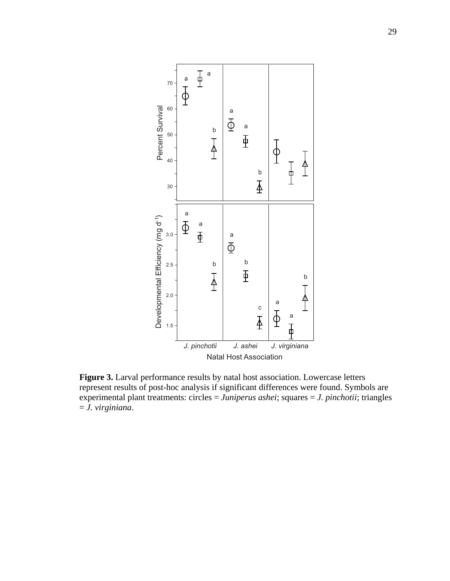

**Figure 3.** Larval performance results by natal host association. Lowercase letters represent results of post-hoc analysis if significant differences were found. Symbols are experimental plant treatments: circles = *Juniperus ashei*; squares = *J. pinchotii*; triangles = *J. virginiana*.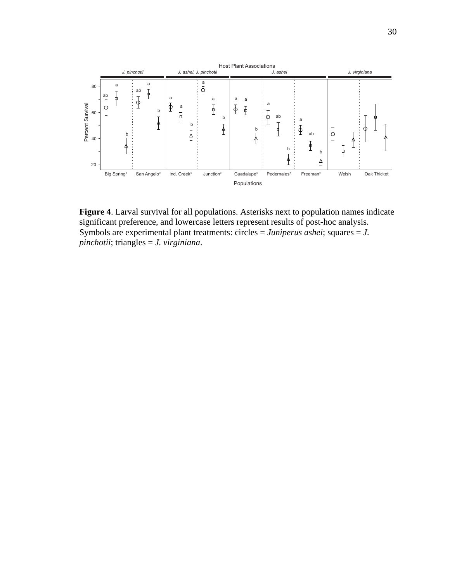

**Figure 4**. Larval survival for all populations. Asterisks next to population names indicate significant preference, and lowercase letters represent results of post-hoc analysis. Symbols are experimental plant treatments: circles = *Juniperus ashei*; squares = *J. pinchotii*; triangles = *J. virginiana*.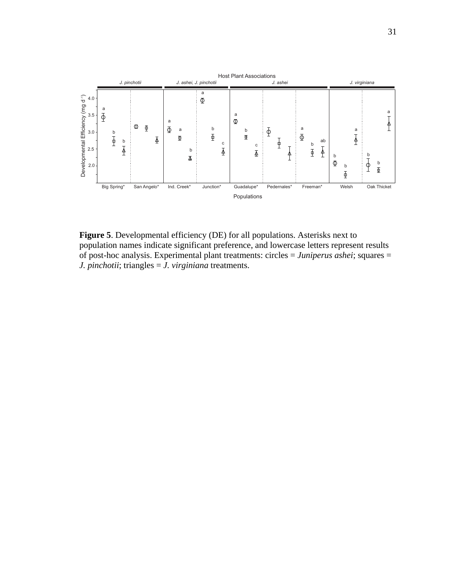

Figure 5. Developmental efficiency (DE) for all populations. Asterisks next to population names indicate significant preference, and lowercase letters represent results of post-hoc analysis. Experimental plant treatments: circles = *Juniperus ashei*; squares = *J. pinchotii*; triangles = *J. virginiana* treatments.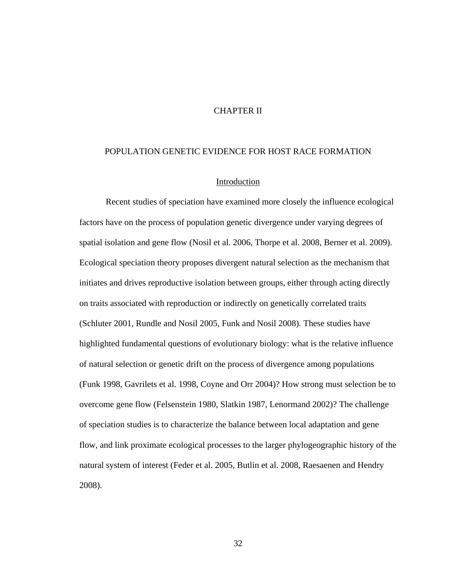## CHAPTER II

### POPULATION GENETIC EVIDENCE FOR HOST RACE FORMATION

### Introduction

Recent studies of speciation have examined more closely the influence ecological factors have on the process of population genetic divergence under varying degrees of spatial isolation and gene flow (Nosil et al. 2006, Thorpe et al. 2008, Berner et al. 2009). Ecological speciation theory proposes divergent natural selection as the mechanism that initiates and drives reproductive isolation between groups, either through acting directly on traits associated with reproduction or indirectly on genetically correlated traits (Schluter 2001, Rundle and Nosil 2005, Funk and Nosil 2008). These studies have highlighted fundamental questions of evolutionary biology: what is the relative influence of natural selection or genetic drift on the process of divergence among populations (Funk 1998, Gavrilets et al. 1998, Coyne and Orr 2004)? How strong must selection be to overcome gene flow (Felsenstein 1980, Slatkin 1987, Lenormand 2002)? The challenge of speciation studies is to characterize the balance between local adaptation and gene flow, and link proximate ecological processes to the larger phylogeographic history of the natural system of interest (Feder et al. 2005, Butlin et al. 2008, Raesaenen and Hendry 2008).

32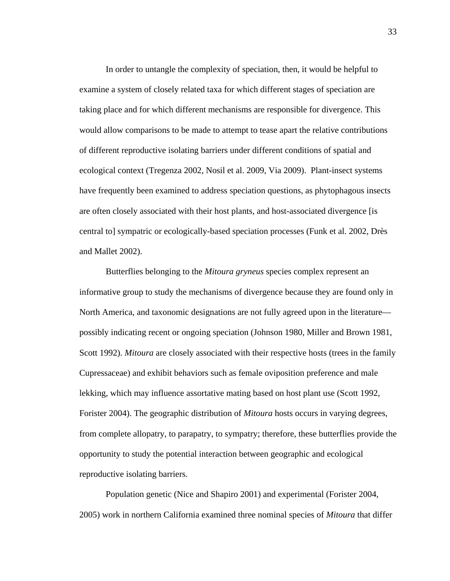In order to untangle the complexity of speciation, then, it would be helpful to examine a system of closely related taxa for which different stages of speciation are taking place and for which different mechanisms are responsible for divergence. This would allow comparisons to be made to attempt to tease apart the relative contributions of different reproductive isolating barriers under different conditions of spatial and ecological context (Tregenza 2002, Nosil et al. 2009, Via 2009). Plant-insect systems have frequently been examined to address speciation questions, as phytophagous insects are often closely associated with their host plants, and host-associated divergence [is central to] sympatric or ecologically-based speciation processes (Funk et al. 2002, Drès and Mallet 2002).

Butterflies belonging to the *Mitoura gryneus* species complex represent an informative group to study the mechanisms of divergence because they are found only in North America, and taxonomic designations are not fully agreed upon in the literature possibly indicating recent or ongoing speciation (Johnson 1980, Miller and Brown 1981, Scott 1992). *Mitoura* are closely associated with their respective hosts (trees in the family Cupressaceae) and exhibit behaviors such as female oviposition preference and male lekking, which may influence assortative mating based on host plant use (Scott 1992, Forister 2004). The geographic distribution of *Mitoura* hosts occurs in varying degrees, from complete allopatry, to parapatry, to sympatry; therefore, these butterflies provide the opportunity to study the potential interaction between geographic and ecological reproductive isolating barriers.

Population genetic (Nice and Shapiro 2001) and experimental (Forister 2004, 2005) work in northern California examined three nominal species of *Mitoura* that differ

33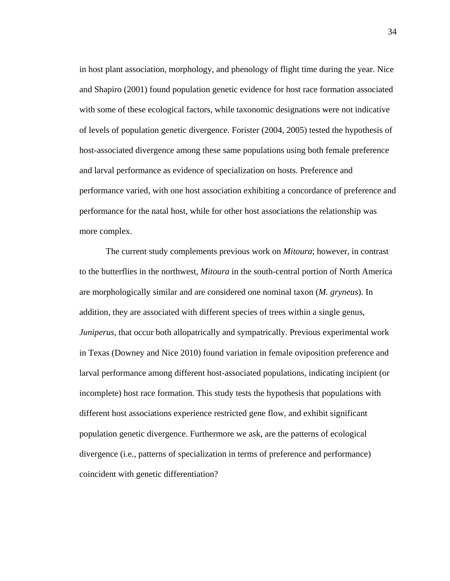in host plant association, morphology, and phenology of flight time during the year. Nice and Shapiro (2001) found population genetic evidence for host race formation associated with some of these ecological factors, while taxonomic designations were not indicative of levels of population genetic divergence. Forister (2004, 2005) tested the hypothesis of host-associated divergence among these same populations using both female preference and larval performance as evidence of specialization on hosts. Preference and performance varied, with one host association exhibiting a concordance of preference and performance for the natal host, while for other host associations the relationship was more complex.

 The current study complements previous work on *Mitoura*; however, in contrast to the butterflies in the northwest, *Mitoura* in the south-central portion of North America are morphologically similar and are considered one nominal taxon (*M. gryneus*). In addition, they are associated with different species of trees within a single genus, *Juniperus*, that occur both allopatrically and sympatrically. Previous experimental work in Texas (Downey and Nice 2010) found variation in female oviposition preference and larval performance among different host-associated populations, indicating incipient (or incomplete) host race formation. This study tests the hypothesis that populations with different host associations experience restricted gene flow, and exhibit significant population genetic divergence. Furthermore we ask, are the patterns of ecological divergence (i.e., patterns of specialization in terms of preference and performance) coincident with genetic differentiation?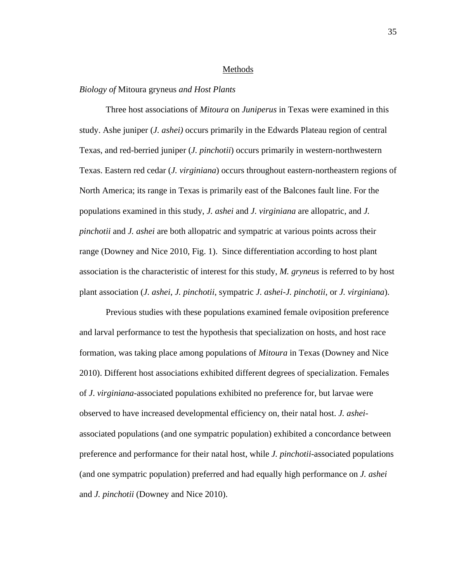#### Methods

#### *Biology of* Mitoura gryneus *and Host Plants*

 Three host associations of *Mitoura* on *Juniperus* in Texas were examined in this study. Ashe juniper (*J. ashei)* occurs primarily in the Edwards Plateau region of central Texas, and red-berried juniper (*J. pinchotii*) occurs primarily in western-northwestern Texas. Eastern red cedar (*J. virginiana*) occurs throughout eastern-northeastern regions of North America; its range in Texas is primarily east of the Balcones fault line. For the populations examined in this study, *J. ashei* and *J. virginiana* are allopatric, and *J. pinchotii* and *J. ashei* are both allopatric and sympatric at various points across their range (Downey and Nice 2010, Fig. 1). Since differentiation according to host plant association is the characteristic of interest for this study, *M. gryneus* is referred to by host plant association (*J. ashei*, *J. pinchotii*, sympatric *J. ashei-J. pinchotii*, or *J. virginiana*).

Previous studies with these populations examined female oviposition preference and larval performance to test the hypothesis that specialization on hosts, and host race formation, was taking place among populations of *Mitoura* in Texas (Downey and Nice 2010). Different host associations exhibited different degrees of specialization. Females of *J*. *virginiana*-associated populations exhibited no preference for, but larvae were observed to have increased developmental efficiency on, their natal host. *J. ashei*associated populations (and one sympatric population) exhibited a concordance between preference and performance for their natal host, while *J. pinchotii*-associated populations (and one sympatric population) preferred and had equally high performance on *J. ashei* and *J. pinchotii* (Downey and Nice 2010).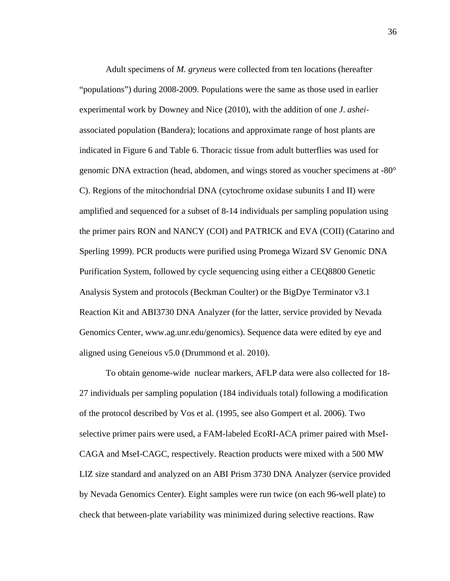Adult specimens of *M. gryneus* were collected from ten locations (hereafter "populations") during 2008-2009. Populations were the same as those used in earlier experimental work by Downey and Nice (2010), with the addition of one *J*. *ashei*associated population (Bandera); locations and approximate range of host plants are indicated in Figure 6 and Table 6. Thoracic tissue from adult butterflies was used for genomic DNA extraction (head, abdomen, and wings stored as voucher specimens at -80° C). Regions of the mitochondrial DNA (cytochrome oxidase subunits I and II) were amplified and sequenced for a subset of 8-14 individuals per sampling population using the primer pairs RON and NANCY (COI) and PATRICK and EVA (COII) (Catarino and Sperling 1999). PCR products were purified using Promega Wizard SV Genomic DNA Purification System, followed by cycle sequencing using either a CEQ8800 Genetic Analysis System and protocols (Beckman Coulter) or the BigDye Terminator v3.1 Reaction Kit and ABI3730 DNA Analyzer (for the latter, service provided by Nevada Genomics Center, www.ag.unr.edu/genomics). Sequence data were edited by eye and aligned using Geneious v5.0 (Drummond et al. 2010).

To obtain genome-wide nuclear markers, AFLP data were also collected for 18- 27 individuals per sampling population (184 individuals total) following a modification of the protocol described by Vos et al. (1995, see also Gompert et al. 2006). Two selective primer pairs were used, a FAM-labeled EcoRI-ACA primer paired with MseI-CAGA and MseI-CAGC, respectively. Reaction products were mixed with a 500 MW LIZ size standard and analyzed on an ABI Prism 3730 DNA Analyzer (service provided by Nevada Genomics Center). Eight samples were run twice (on each 96-well plate) to check that between-plate variability was minimized during selective reactions. Raw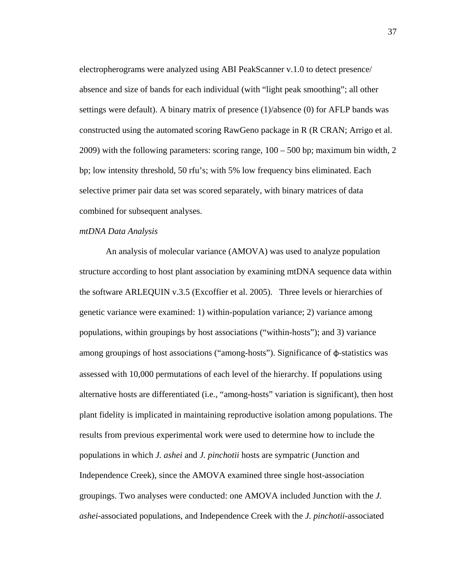electropherograms were analyzed using ABI PeakScanner v.1.0 to detect presence/ absence and size of bands for each individual (with "light peak smoothing"; all other settings were default). A binary matrix of presence (1)/absence (0) for AFLP bands was constructed using the automated scoring RawGeno package in R (R CRAN; Arrigo et al. 2009) with the following parameters: scoring range, 100 – 500 bp; maximum bin width, 2 bp; low intensity threshold, 50 rfu's; with 5% low frequency bins eliminated. Each selective primer pair data set was scored separately, with binary matrices of data combined for subsequent analyses.

## *mtDNA Data Analysis*

An analysis of molecular variance (AMOVA) was used to analyze population structure according to host plant association by examining mtDNA sequence data within the software ARLEQUIN v.3.5 (Excoffier et al. 2005). Three levels or hierarchies of genetic variance were examined: 1) within-population variance; 2) variance among populations, within groupings by host associations ("within-hosts"); and 3) variance among groupings of host associations ("among-hosts"). Significance of φ‐statistics was assessed with 10,000 permutations of each level of the hierarchy. If populations using alternative hosts are differentiated (i.e., "among-hosts" variation is significant), then host plant fidelity is implicated in maintaining reproductive isolation among populations. The results from previous experimental work were used to determine how to include the populations in which *J. ashei* and *J. pinchotii* hosts are sympatric (Junction and Independence Creek), since the AMOVA examined three single host-association groupings. Two analyses were conducted: one AMOVA included Junction with the *J. ashei*-associated populations, and Independence Creek with the *J. pinchotii*-associated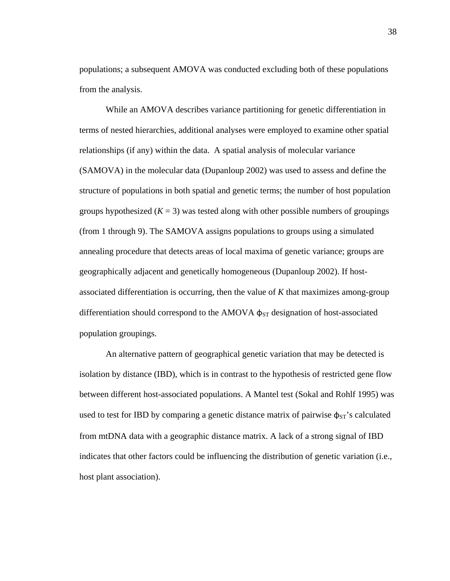populations; a subsequent AMOVA was conducted excluding both of these populations from the analysis.

While an AMOVA describes variance partitioning for genetic differentiation in terms of nested hierarchies, additional analyses were employed to examine other spatial relationships (if any) within the data. A spatial analysis of molecular variance (SAMOVA) in the molecular data (Dupanloup 2002) was used to assess and define the structure of populations in both spatial and genetic terms; the number of host population groups hypothesized  $(K = 3)$  was tested along with other possible numbers of groupings (from 1 through 9). The SAMOVA assigns populations to groups using a simulated annealing procedure that detects areas of local maxima of genetic variance; groups are geographically adjacent and genetically homogeneous (Dupanloup 2002). If hostassociated differentiation is occurring, then the value of *K* that maximizes among-group differentiation should correspond to the AMOVA  $\phi_{ST}$  designation of host-associated population groupings.

An alternative pattern of geographical genetic variation that may be detected is isolation by distance (IBD), which is in contrast to the hypothesis of restricted gene flow between different host-associated populations. A Mantel test (Sokal and Rohlf 1995) was used to test for IBD by comparing a genetic distance matrix of pairwise  $\phi_{ST}$ 's calculated from mtDNA data with a geographic distance matrix. A lack of a strong signal of IBD indicates that other factors could be influencing the distribution of genetic variation (i.e., host plant association).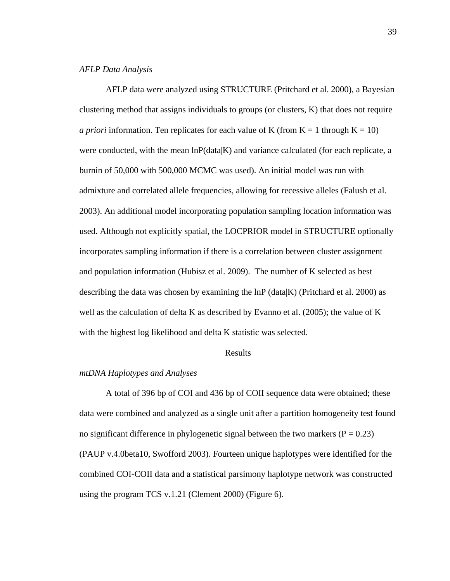## *AFLP Data Analysis*

AFLP data were analyzed using STRUCTURE (Pritchard et al. 2000), a Bayesian clustering method that assigns individuals to groups (or clusters, K) that does not require *a priori* information. Ten replicates for each value of K (from  $K = 1$  through  $K = 10$ ) were conducted, with the mean  $\ln P(\text{data}|K)$  and variance calculated (for each replicate, a burnin of 50,000 with 500,000 MCMC was used). An initial model was run with admixture and correlated allele frequencies, allowing for recessive alleles (Falush et al. 2003). An additional model incorporating population sampling location information was used. Although not explicitly spatial, the LOCPRIOR model in STRUCTURE optionally incorporates sampling information if there is a correlation between cluster assignment and population information (Hubisz et al. 2009). The number of K selected as best describing the data was chosen by examining the  $\ln P$  (data K) (Pritchard et al. 2000) as well as the calculation of delta K as described by Evanno et al. (2005); the value of K with the highest log likelihood and delta K statistic was selected.

#### Results

# *mtDNA Haplotypes and Analyses*

 A total of 396 bp of COI and 436 bp of COII sequence data were obtained; these data were combined and analyzed as a single unit after a partition homogeneity test found no significant difference in phylogenetic signal between the two markers ( $P = 0.23$ ) (PAUP v.4.0beta10, Swofford 2003). Fourteen unique haplotypes were identified for the combined COI-COII data and a statistical parsimony haplotype network was constructed using the program TCS v.1.21 (Clement 2000) (Figure 6).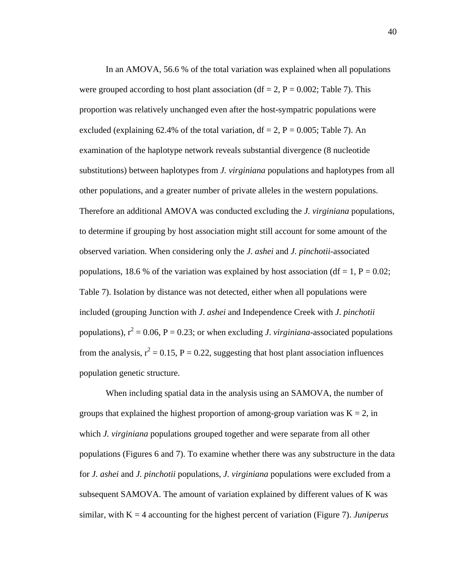In an AMOVA, 56.6 % of the total variation was explained when all populations were grouped according to host plant association (df = 2,  $P = 0.002$ ; Table 7). This proportion was relatively unchanged even after the host-sympatric populations were excluded (explaining 62.4% of the total variation,  $df = 2$ ,  $P = 0.005$ ; Table 7). An examination of the haplotype network reveals substantial divergence (8 nucleotide substitutions) between haplotypes from *J. virginiana* populations and haplotypes from all other populations, and a greater number of private alleles in the western populations. Therefore an additional AMOVA was conducted excluding the *J. virginiana* populations, to determine if grouping by host association might still account for some amount of the observed variation. When considering only the *J. ashei* and *J. pinchotii*-associated populations, 18.6 % of the variation was explained by host association (df = 1, P =  $0.02$ ; Table 7). Isolation by distance was not detected, either when all populations were included (grouping Junction with *J*. *ashei* and Independence Creek with *J*. *pinchotii* populations),  $r^2 = 0.06$ ,  $P = 0.23$ ; or when excluding *J. virginiana*-associated populations from the analysis,  $r^2 = 0.15$ ,  $P = 0.22$ , suggesting that host plant association influences population genetic structure.

When including spatial data in the analysis using an SAMOVA, the number of groups that explained the highest proportion of among-group variation was  $K = 2$ , in which *J. virginiana* populations grouped together and were separate from all other populations (Figures 6 and 7). To examine whether there was any substructure in the data for *J. ashei* and *J. pinchotii* populations, *J. virginiana* populations were excluded from a subsequent SAMOVA. The amount of variation explained by different values of K was similar, with K = 4 accounting for the highest percent of variation (Figure 7). *Juniperus*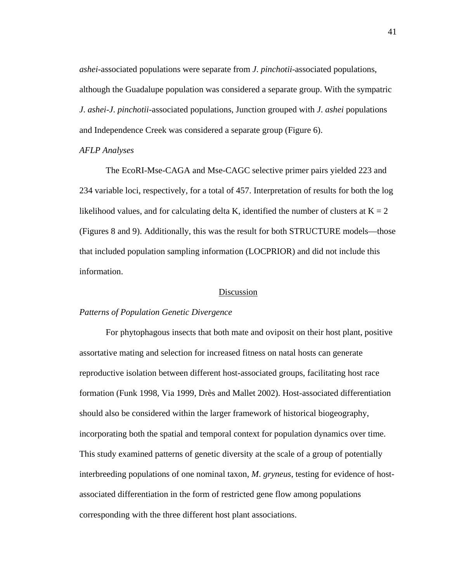*ashei*-associated populations were separate from *J*. *pinchotii*-associated populations, although the Guadalupe population was considered a separate group. With the sympatric *J*. *ashei*-*J*. *pinchotii*-associated populations, Junction grouped with *J*. *ashei* populations and Independence Creek was considered a separate group (Figure 6).

### *AFLP Analyses*

 The EcoRI-Mse-CAGA and Mse-CAGC selective primer pairs yielded 223 and 234 variable loci, respectively, for a total of 457. Interpretation of results for both the log likelihood values, and for calculating delta K, identified the number of clusters at  $K = 2$ (Figures 8 and 9). Additionally, this was the result for both STRUCTURE models—those that included population sampling information (LOCPRIOR) and did not include this information.

## Discussion

# *Patterns of Population Genetic Divergence*

 For phytophagous insects that both mate and oviposit on their host plant, positive assortative mating and selection for increased fitness on natal hosts can generate reproductive isolation between different host-associated groups, facilitating host race formation (Funk 1998, Via 1999, Drès and Mallet 2002). Host-associated differentiation should also be considered within the larger framework of historical biogeography, incorporating both the spatial and temporal context for population dynamics over time. This study examined patterns of genetic diversity at the scale of a group of potentially interbreeding populations of one nominal taxon, *M*. *gryneus*, testing for evidence of hostassociated differentiation in the form of restricted gene flow among populations corresponding with the three different host plant associations.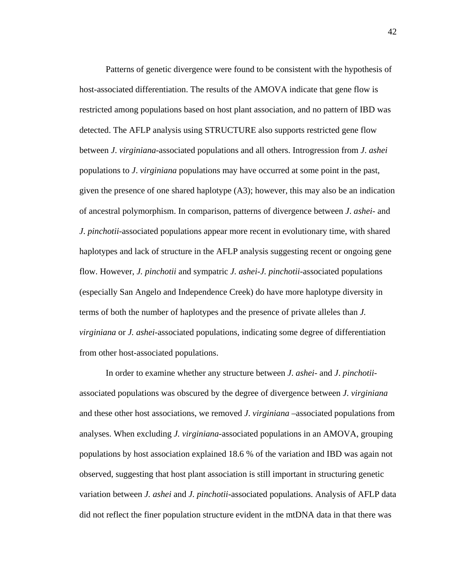Patterns of genetic divergence were found to be consistent with the hypothesis of host-associated differentiation. The results of the AMOVA indicate that gene flow is restricted among populations based on host plant association, and no pattern of IBD was detected. The AFLP analysis using STRUCTURE also supports restricted gene flow between *J*. *virginiana*-associated populations and all others. Introgression from *J*. *ashei* populations to *J*. *virginiana* populations may have occurred at some point in the past, given the presence of one shared haplotype (A3); however, this may also be an indication of ancestral polymorphism. In comparison, patterns of divergence between *J*. *ashei*- and *J*. *pinchotii*-associated populations appear more recent in evolutionary time, with shared haplotypes and lack of structure in the AFLP analysis suggesting recent or ongoing gene flow. However, *J. pinchotii* and sympatric *J. ashei*-*J. pinchotii*-associated populations (especially San Angelo and Independence Creek) do have more haplotype diversity in terms of both the number of haplotypes and the presence of private alleles than *J. virginiana* or *J. ashei*-associated populations, indicating some degree of differentiation from other host-associated populations.

In order to examine whether any structure between *J*. *ashei*- and *J*. *pinchotii*associated populations was obscured by the degree of divergence between *J*. *virginiana* and these other host associations, we removed *J*. *virginiana* –associated populations from analyses. When excluding *J. virginiana*-associated populations in an AMOVA, grouping populations by host association explained 18.6 % of the variation and IBD was again not observed, suggesting that host plant association is still important in structuring genetic variation between *J. ashei* and *J. pinchotii*-associated populations. Analysis of AFLP data did not reflect the finer population structure evident in the mtDNA data in that there was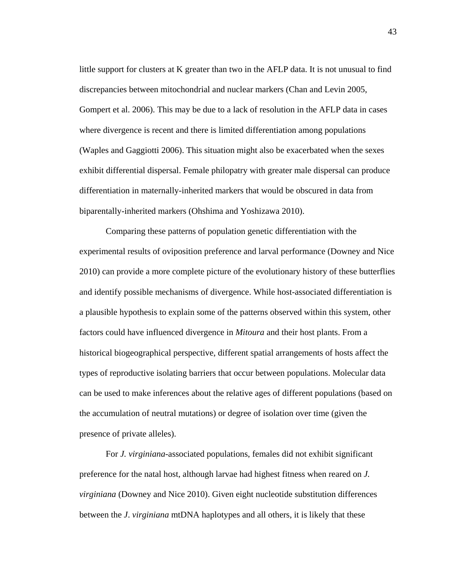little support for clusters at K greater than two in the AFLP data. It is not unusual to find discrepancies between mitochondrial and nuclear markers (Chan and Levin 2005, Gompert et al. 2006). This may be due to a lack of resolution in the AFLP data in cases where divergence is recent and there is limited differentiation among populations (Waples and Gaggiotti 2006). This situation might also be exacerbated when the sexes exhibit differential dispersal. Female philopatry with greater male dispersal can produce differentiation in maternally-inherited markers that would be obscured in data from biparentally-inherited markers (Ohshima and Yoshizawa 2010).

Comparing these patterns of population genetic differentiation with the experimental results of oviposition preference and larval performance (Downey and Nice 2010) can provide a more complete picture of the evolutionary history of these butterflies and identify possible mechanisms of divergence. While host-associated differentiation is a plausible hypothesis to explain some of the patterns observed within this system, other factors could have influenced divergence in *Mitoura* and their host plants. From a historical biogeographical perspective, different spatial arrangements of hosts affect the types of reproductive isolating barriers that occur between populations. Molecular data can be used to make inferences about the relative ages of different populations (based on the accumulation of neutral mutations) or degree of isolation over time (given the presence of private alleles).

For *J. virginiana*-associated populations, females did not exhibit significant preference for the natal host, although larvae had highest fitness when reared on *J. virginiana* (Downey and Nice 2010). Given eight nucleotide substitution differences between the *J*. *virginiana* mtDNA haplotypes and all others, it is likely that these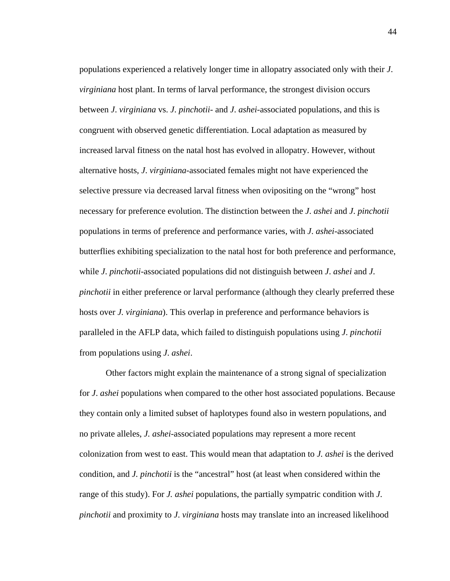populations experienced a relatively longer time in allopatry associated only with their *J*. *virginiana* host plant. In terms of larval performance, the strongest division occurs between *J*. *virginiana* vs. *J*. *pinchotii*- and *J*. *ashei*-associated populations, and this is congruent with observed genetic differentiation. Local adaptation as measured by increased larval fitness on the natal host has evolved in allopatry. However, without alternative hosts, *J*. *virginiana*-associated females might not have experienced the selective pressure via decreased larval fitness when ovipositing on the "wrong" host necessary for preference evolution. The distinction between the *J*. *ashei* and *J*. *pinchotii* populations in terms of preference and performance varies, with *J*. *ashei*-associated butterflies exhibiting specialization to the natal host for both preference and performance, while *J*. *pinchotii*-associated populations did not distinguish between *J*. *ashei* and *J*. *pinchotii* in either preference or larval performance (although they clearly preferred these hosts over *J. virginiana*). This overlap in preference and performance behaviors is paralleled in the AFLP data, which failed to distinguish populations using *J*. *pinchotii* from populations using *J*. *ashei*.

Other factors might explain the maintenance of a strong signal of specialization for *J*. *ashei* populations when compared to the other host associated populations. Because they contain only a limited subset of haplotypes found also in western populations, and no private alleles, *J. ashei*-associated populations may represent a more recent colonization from west to east. This would mean that adaptation to *J. ashei* is the derived condition, and *J. pinchotii* is the "ancestral" host (at least when considered within the range of this study). For *J. ashei* populations, the partially sympatric condition with *J*. *pinchotii* and proximity to *J*. *virginiana* hosts may translate into an increased likelihood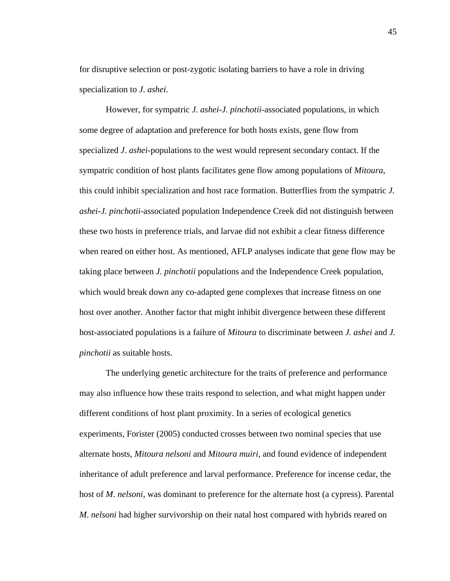for disruptive selection or post-zygotic isolating barriers to have a role in driving specialization to *J*. *ashei*.

However, for sympatric *J. ashei*-*J. pinchotii*-associated populations, in which some degree of adaptation and preference for both hosts exists, gene flow from specialized *J*. *ashei*-populations to the west would represent secondary contact. If the sympatric condition of host plants facilitates gene flow among populations of *Mitoura*, this could inhibit specialization and host race formation. Butterflies from the sympatric *J. ashei*-*J. pinchotii*-associated population Independence Creek did not distinguish between these two hosts in preference trials, and larvae did not exhibit a clear fitness difference when reared on either host. As mentioned, AFLP analyses indicate that gene flow may be taking place between *J. pinchotii* populations and the Independence Creek population, which would break down any co-adapted gene complexes that increase fitness on one host over another. Another factor that might inhibit divergence between these different host-associated populations is a failure of *Mitoura* to discriminate between *J. ashei* and *J. pinchotii* as suitable hosts.

 The underlying genetic architecture for the traits of preference and performance may also influence how these traits respond to selection, and what might happen under different conditions of host plant proximity. In a series of ecological genetics experiments, Forister (2005) conducted crosses between two nominal species that use alternate hosts, *Mitoura nelsoni* and *Mitoura muiri*, and found evidence of independent inheritance of adult preference and larval performance. Preference for incense cedar, the host of *M*. *nelsoni*, was dominant to preference for the alternate host (a cypress). Parental *M*. *nelsoni* had higher survivorship on their natal host compared with hybrids reared on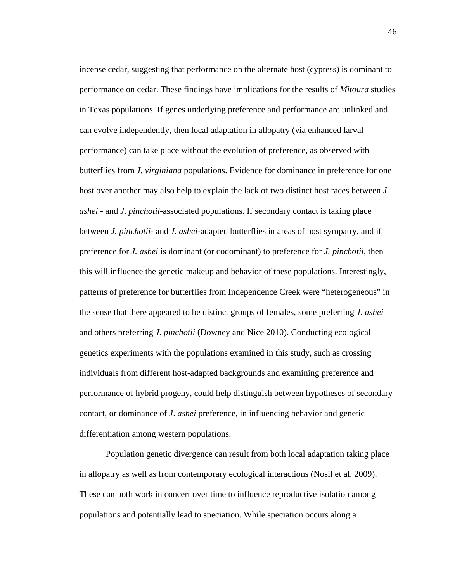incense cedar, suggesting that performance on the alternate host (cypress) is dominant to performance on cedar. These findings have implications for the results of *Mitoura* studies in Texas populations. If genes underlying preference and performance are unlinked and can evolve independently, then local adaptation in allopatry (via enhanced larval performance) can take place without the evolution of preference, as observed with butterflies from *J. virginiana* populations. Evidence for dominance in preference for one host over another may also help to explain the lack of two distinct host races between *J. ashei* - and *J*. *pinchotii*-associated populations. If secondary contact is taking place between *J. pinchotii*- and *J. ashei*-adapted butterflies in areas of host sympatry, and if preference for *J. ashei* is dominant (or codominant) to preference for *J. pinchotii*, then this will influence the genetic makeup and behavior of these populations. Interestingly, patterns of preference for butterflies from Independence Creek were "heterogeneous" in the sense that there appeared to be distinct groups of females, some preferring *J. ashei* and others preferring *J. pinchotii* (Downey and Nice 2010). Conducting ecological genetics experiments with the populations examined in this study, such as crossing individuals from different host-adapted backgrounds and examining preference and performance of hybrid progeny, could help distinguish between hypotheses of secondary contact, or dominance of *J*. *ashei* preference, in influencing behavior and genetic differentiation among western populations.

Population genetic divergence can result from both local adaptation taking place in allopatry as well as from contemporary ecological interactions (Nosil et al. 2009). These can both work in concert over time to influence reproductive isolation among populations and potentially lead to speciation. While speciation occurs along a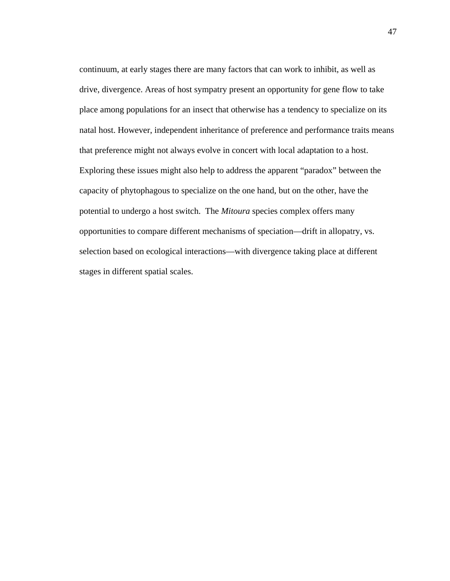continuum, at early stages there are many factors that can work to inhibit, as well as drive, divergence. Areas of host sympatry present an opportunity for gene flow to take place among populations for an insect that otherwise has a tendency to specialize on its natal host. However, independent inheritance of preference and performance traits means that preference might not always evolve in concert with local adaptation to a host. Exploring these issues might also help to address the apparent "paradox" between the capacity of phytophagous to specialize on the one hand, but on the other, have the potential to undergo a host switch. The *Mitoura* species complex offers many opportunities to compare different mechanisms of speciation—drift in allopatry, vs. selection based on ecological interactions—with divergence taking place at different stages in different spatial scales.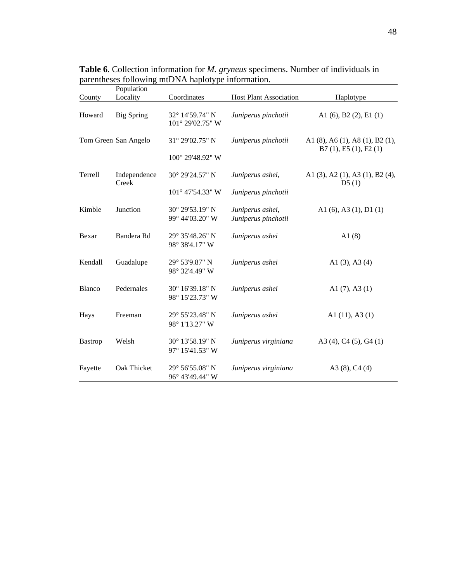|                | Population            |                                     |                                         |                                                                    |
|----------------|-----------------------|-------------------------------------|-----------------------------------------|--------------------------------------------------------------------|
| County         | Locality              | Coordinates                         | <b>Host Plant Association</b>           | Haplotype                                                          |
| Howard         | <b>Big Spring</b>     | 32° 14'59.74" N<br>101° 29'02.75" W | Juniperus pinchotii                     | A1 $(6)$ , B2 $(2)$ , E1 $(1)$                                     |
|                | Tom Green San Angelo  | 31° 29'02.75" N                     | Juniperus pinchotii                     | A1 $(8)$ , A6 $(1)$ , A8 $(1)$ , B2 $(1)$ ,<br>B7(1), E5(1), F2(1) |
|                |                       | 100° 29'48.92" W                    |                                         |                                                                    |
| Terrell        | Independence<br>Creek | 30° 29'24.57" N                     | Juniperus ashei,                        | A1 (3), A2 (1), A3 (1), B2 (4),<br>D5(1)                           |
|                |                       | 101° 47'54.33" W                    | Juniperus pinchotii                     |                                                                    |
| Kimble         | Junction              | 30° 29'53.19" N<br>99° 44'03.20" W  | Juniperus ashei,<br>Juniperus pinchotii | A1 $(6)$ , A3 $(1)$ , D1 $(1)$                                     |
| Bexar          | Bandera Rd            | 29° 35'48.26" N<br>98° 38'4.17" W   | Juniperus ashei                         | A $1(8)$                                                           |
| Kendall        | Guadalupe             | 29° 53'9.87" N<br>98° 32'4.49" W    | Juniperus ashei                         | A1 $(3)$ , A3 $(4)$                                                |
| Blanco         | Pedernales            | 30° 16'39.18" N<br>98° 15'23.73" W  | Juniperus ashei                         | A1 $(7)$ , A3 $(1)$                                                |
| Hays           | Freeman               | 29° 55'23.48" N<br>98° 1'13.27" W   | Juniperus ashei                         | A1 $(11)$ , A3 $(1)$                                               |
| <b>Bastrop</b> | Welsh                 | 30° 13'58.19" N<br>97° 15'41.53" W  | Juniperus virginiana                    | A3 (4), C4 (5), G4 (1)                                             |
| Fayette        | Oak Thicket           | 29° 56' 55.08" N<br>96° 43'49.44" W | Juniperus virginiana                    | A3 $(8)$ , C <sub>4</sub> $(4)$                                    |

**Table 6**. Collection information for *M. gryneus* specimens. Number of individuals in parentheses following mtDNA haplotype information.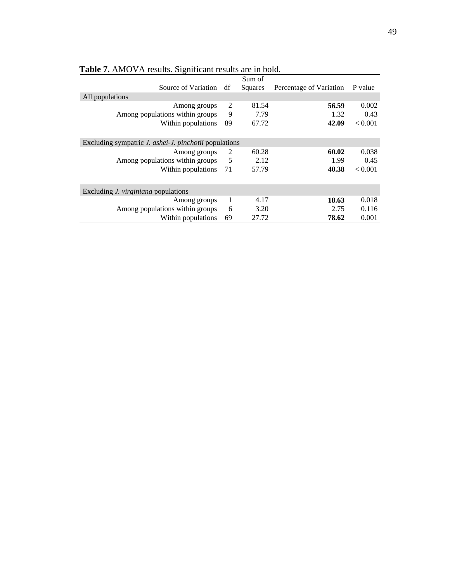|                                                              | Sum of  |                         |         |  |
|--------------------------------------------------------------|---------|-------------------------|---------|--|
| df                                                           | Squares | Percentage of Variation | P value |  |
|                                                              |         |                         |         |  |
| 2                                                            | 81.54   | 56.59                   | 0.002   |  |
| 9                                                            | 7.79    | 1.32                    | 0.43    |  |
| 89                                                           | 67.72   | 42.09                   | < 0.001 |  |
|                                                              |         |                         |         |  |
| Excluding sympatric <i>J. ashei-J. pinchotii</i> populations |         |                         |         |  |
| 2                                                            | 60.28   | 60.02                   | 0.038   |  |
| - 5                                                          | 2.12    | 1.99                    | 0.45    |  |
| 71                                                           | 57.79   | 40.38                   | < 0.001 |  |
|                                                              |         |                         |         |  |
|                                                              |         |                         |         |  |
| 1                                                            | 4.17    | 18.63                   | 0.018   |  |
| 6                                                            | 3.20    | 2.75                    | 0.116   |  |
| 69                                                           | 27.72   | 78.62                   | 0.001   |  |
|                                                              |         |                         |         |  |

**Table 7.** AMOVA results. Significant results are in bold.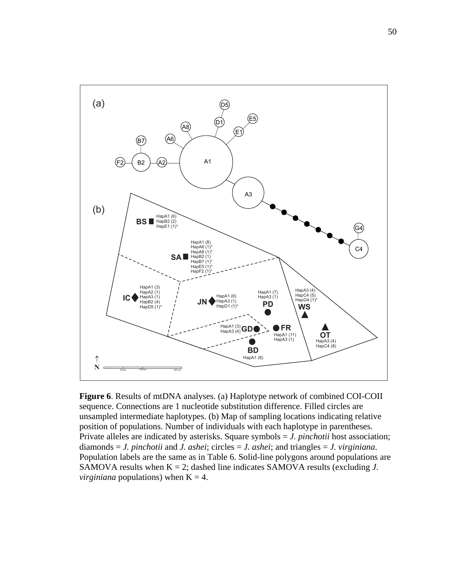

**Figure 6**. Results of mtDNA analyses. (a) Haplotype network of combined COI-COII sequence. Connections are 1 nucleotide substitution difference. Filled circles are unsampled intermediate haplotypes. (b) Map of sampling locations indicating relative position of populations. Number of individuals with each haplotype in parentheses. Private alleles are indicated by asterisks. Square symbols = *J. pinchotii* host association; diamonds = *J. pinchotii* and *J. ashei*; circles = *J. ashei*; and triangles = *J. virginiana*. Population labels are the same as in Table 6. Solid-line polygons around populations are SAMOVA results when  $K = 2$ ; dashed line indicates SAMOVA results (excluding  $J$ . *virginiana* populations) when  $K = 4$ .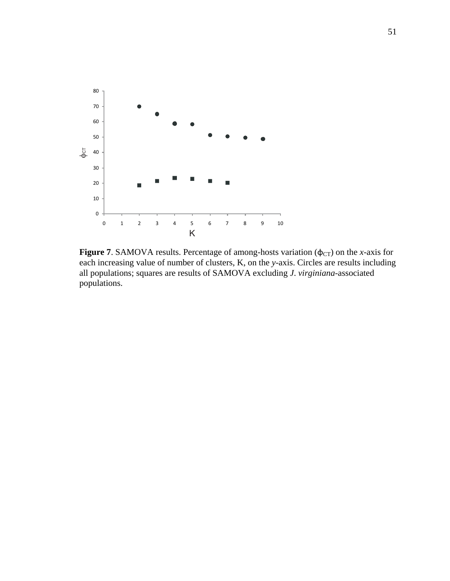

**Figure 7**. SAMOVA results. Percentage of among-hosts variation ( $\phi$ <sub>CT</sub>) on the *x*-axis for each increasing value of number of clusters, K, on the *y*-axis. Circles are results including all populations; squares are results of SAMOVA excluding *J*. *virginiana*-associated populations.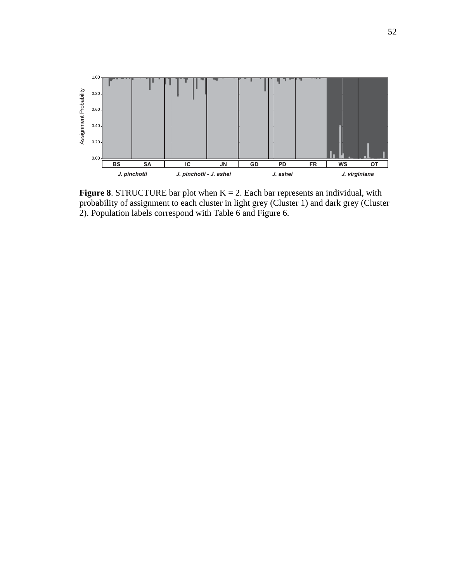

**Figure 8**. STRUCTURE bar plot when  $K = 2$ . Each bar represents an individual, with probability of assignment to each cluster in light grey (Cluster 1) and dark grey (Cluster 2). Population labels correspond with Table 6 and Figure 6.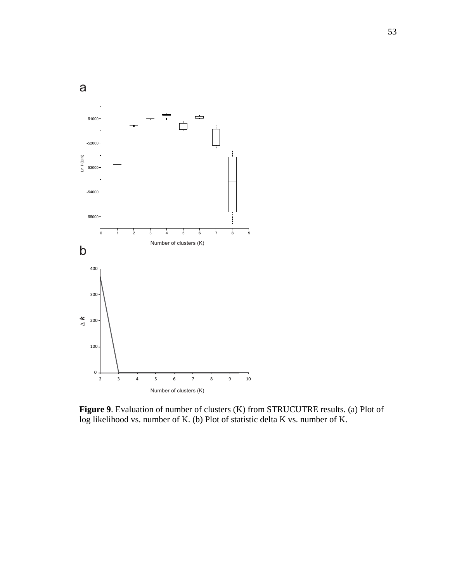

**Figure 9**. Evaluation of number of clusters (K) from STRUCUTRE results. (a) Plot of log likelihood vs. number of K. (b) Plot of statistic delta K vs. number of K.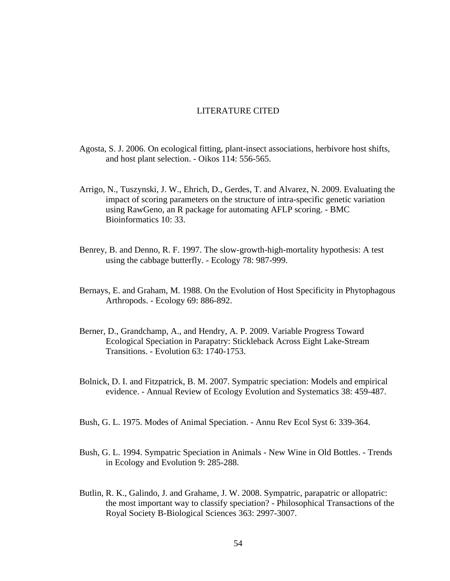## LITERATURE CITED

- Agosta, S. J. 2006. On ecological fitting, plant-insect associations, herbivore host shifts, and host plant selection. - Oikos 114: 556-565.
- Arrigo, N., Tuszynski, J. W., Ehrich, D., Gerdes, T. and Alvarez, N. 2009. Evaluating the impact of scoring parameters on the structure of intra-specific genetic variation using RawGeno, an R package for automating AFLP scoring. - BMC Bioinformatics 10: 33.
- Benrey, B. and Denno, R. F. 1997. The slow-growth-high-mortality hypothesis: A test using the cabbage butterfly. - Ecology 78: 987-999.
- Bernays, E. and Graham, M. 1988. On the Evolution of Host Specificity in Phytophagous Arthropods. - Ecology 69: 886-892.
- Berner, D., Grandchamp, A., and Hendry, A. P. 2009. Variable Progress Toward Ecological Speciation in Parapatry: Stickleback Across Eight Lake-Stream Transitions. - Evolution 63: 1740-1753.
- Bolnick, D. I. and Fitzpatrick, B. M. 2007. Sympatric speciation: Models and empirical evidence. - Annual Review of Ecology Evolution and Systematics 38: 459-487.
- Bush, G. L. 1975. Modes of Animal Speciation. Annu Rev Ecol Syst 6: 339-364.
- Bush, G. L. 1994. Sympatric Speciation in Animals New Wine in Old Bottles. Trends in Ecology and Evolution 9: 285-288.
- Butlin, R. K., Galindo, J. and Grahame, J. W. 2008. Sympatric, parapatric or allopatric: the most important way to classify speciation? - Philosophical Transactions of the Royal Society B-Biological Sciences 363: 2997-3007.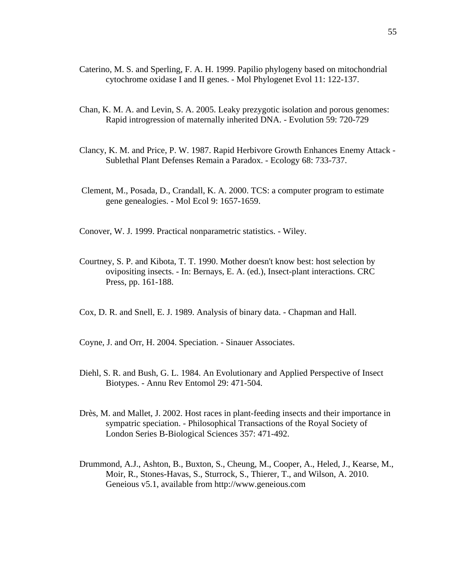- Caterino, M. S. and Sperling, F. A. H. 1999. Papilio phylogeny based on mitochondrial cytochrome oxidase I and II genes. - Mol Phylogenet Evol 11: 122-137.
- Chan, K. M. A. and Levin, S. A. 2005. Leaky prezygotic isolation and porous genomes: Rapid introgression of maternally inherited DNA. - Evolution 59: 720-729
- Clancy, K. M. and Price, P. W. 1987. Rapid Herbivore Growth Enhances Enemy Attack Sublethal Plant Defenses Remain a Paradox. - Ecology 68: 733-737.
- Clement, M., Posada, D., Crandall, K. A. 2000. TCS: a computer program to estimate gene genealogies. - Mol Ecol 9: 1657-1659.

Conover, W. J. 1999. Practical nonparametric statistics. - Wiley.

- Courtney, S. P. and Kibota, T. T. 1990. Mother doesn't know best: host selection by ovipositing insects. - In: Bernays, E. A. (ed.), Insect-plant interactions. CRC Press, pp. 161-188.
- Cox, D. R. and Snell, E. J. 1989. Analysis of binary data. Chapman and Hall.

Coyne, J. and Orr, H. 2004. Speciation. - Sinauer Associates.

- Diehl, S. R. and Bush, G. L. 1984. An Evolutionary and Applied Perspective of Insect Biotypes. - Annu Rev Entomol 29: 471-504.
- Drès, M. and Mallet, J. 2002. Host races in plant-feeding insects and their importance in sympatric speciation. - Philosophical Transactions of the Royal Society of London Series B-Biological Sciences 357: 471-492.
- Drummond, A.J., Ashton, B., Buxton, S., Cheung, M., Cooper, A., Heled, J., Kearse, M., Moir, R., Stones-Havas, S., Sturrock, S., Thierer, T., and Wilson, A. 2010. Geneious v5.1, available from http://www.geneious.com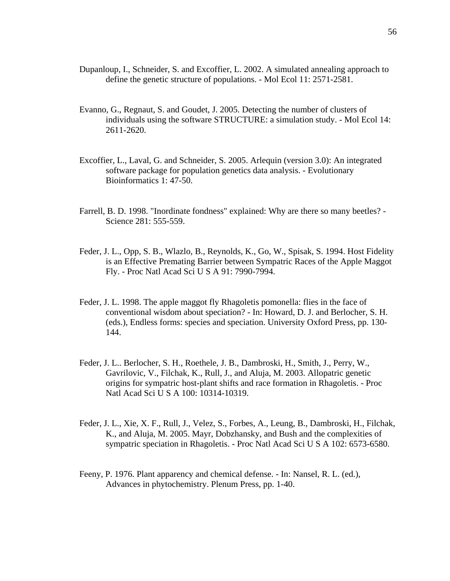- Dupanloup, I., Schneider, S. and Excoffier, L. 2002. A simulated annealing approach to define the genetic structure of populations. - Mol Ecol 11: 2571-2581.
- Evanno, G., Regnaut, S. and Goudet, J. 2005. Detecting the number of clusters of individuals using the software STRUCTURE: a simulation study. - Mol Ecol 14: 2611-2620.
- Excoffier, L., Laval, G. and Schneider, S. 2005. Arlequin (version 3.0): An integrated software package for population genetics data analysis. - Evolutionary Bioinformatics 1: 47-50.
- Farrell, B. D. 1998. "Inordinate fondness" explained: Why are there so many beetles? Science 281: 555-559.
- Feder, J. L., Opp, S. B., Wlazlo, B., Reynolds, K., Go, W., Spisak, S. 1994. Host Fidelity is an Effective Premating Barrier between Sympatric Races of the Apple Maggot Fly. - Proc Natl Acad Sci U S A 91: 7990-7994.
- Feder, J. L. 1998. The apple maggot fly Rhagoletis pomonella: flies in the face of conventional wisdom about speciation? - In: Howard, D. J. and Berlocher, S. H. (eds.), Endless forms: species and speciation. University Oxford Press, pp. 130- 144.
- Feder, J. L.. Berlocher, S. H., Roethele, J. B., Dambroski, H., Smith, J., Perry, W., Gavrilovic, V., Filchak, K., Rull, J., and Aluja, M. 2003. Allopatric genetic origins for sympatric host-plant shifts and race formation in Rhagoletis. - Proc Natl Acad Sci U S A 100: 10314-10319.
- Feder, J. L., Xie, X. F., Rull, J., Velez, S., Forbes, A., Leung, B., Dambroski, H., Filchak, K., and Aluja, M. 2005. Mayr, Dobzhansky, and Bush and the complexities of sympatric speciation in Rhagoletis. - Proc Natl Acad Sci U S A 102: 6573-6580.
- Feeny, P. 1976. Plant apparency and chemical defense. In: Nansel, R. L. (ed.), Advances in phytochemistry. Plenum Press, pp. 1-40.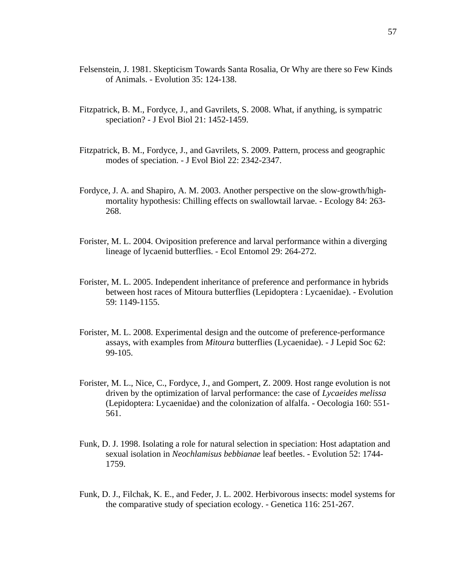- Felsenstein, J. 1981. Skepticism Towards Santa Rosalia, Or Why are there so Few Kinds of Animals. - Evolution 35: 124-138.
- Fitzpatrick, B. M., Fordyce, J., and Gavrilets, S. 2008. What, if anything, is sympatric speciation? - J Evol Biol 21: 1452-1459.
- Fitzpatrick, B. M., Fordyce, J., and Gavrilets, S. 2009. Pattern, process and geographic modes of speciation. - J Evol Biol 22: 2342-2347.
- Fordyce, J. A. and Shapiro, A. M. 2003. Another perspective on the slow-growth/highmortality hypothesis: Chilling effects on swallowtail larvae. - Ecology 84: 263- 268.
- Forister, M. L. 2004. Oviposition preference and larval performance within a diverging lineage of lycaenid butterflies. - Ecol Entomol 29: 264-272.
- Forister, M. L. 2005. Independent inheritance of preference and performance in hybrids between host races of Mitoura butterflies (Lepidoptera : Lycaenidae). - Evolution 59: 1149-1155.
- Forister, M. L. 2008. Experimental design and the outcome of preference-performance assays, with examples from *Mitoura* butterflies (Lycaenidae). - J Lepid Soc 62: 99-105.
- Forister, M. L., Nice, C., Fordyce, J., and Gompert, Z. 2009. Host range evolution is not driven by the optimization of larval performance: the case of *Lycaeides melissa* (Lepidoptera: Lycaenidae) and the colonization of alfalfa. - Oecologia 160: 551- 561.
- Funk, D. J. 1998. Isolating a role for natural selection in speciation: Host adaptation and sexual isolation in *Neochlamisus bebbianae* leaf beetles. - Evolution 52: 1744- 1759.
- Funk, D. J., Filchak, K. E., and Feder, J. L. 2002. Herbivorous insects: model systems for the comparative study of speciation ecology. - Genetica 116: 251-267.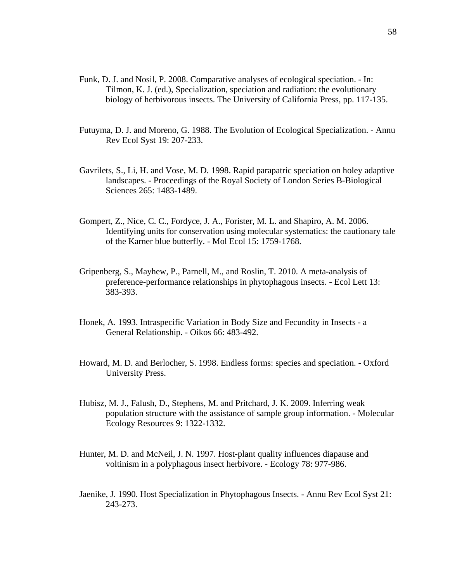- Funk, D. J. and Nosil, P. 2008. Comparative analyses of ecological speciation. In: Tilmon, K. J. (ed.), Specialization, speciation and radiation: the evolutionary biology of herbivorous insects. The University of California Press, pp. 117-135.
- Futuyma, D. J. and Moreno, G. 1988. The Evolution of Ecological Specialization. Annu Rev Ecol Syst 19: 207-233.
- Gavrilets, S., Li, H. and Vose, M. D. 1998. Rapid parapatric speciation on holey adaptive landscapes. - Proceedings of the Royal Society of London Series B-Biological Sciences 265: 1483-1489.
- Gompert, Z., Nice, C. C., Fordyce, J. A., Forister, M. L. and Shapiro, A. M. 2006. Identifying units for conservation using molecular systematics: the cautionary tale of the Karner blue butterfly. - Mol Ecol 15: 1759-1768.
- Gripenberg, S., Mayhew, P., Parnell, M., and Roslin, T. 2010. A meta-analysis of preference-performance relationships in phytophagous insects. - Ecol Lett 13: 383-393.
- Honek, A. 1993. Intraspecific Variation in Body Size and Fecundity in Insects a General Relationship. - Oikos 66: 483-492.
- Howard, M. D. and Berlocher, S. 1998. Endless forms: species and speciation. Oxford University Press.
- Hubisz, M. J., Falush, D., Stephens, M. and Pritchard, J. K. 2009. Inferring weak population structure with the assistance of sample group information. - Molecular Ecology Resources 9: 1322-1332.
- Hunter, M. D. and McNeil, J. N. 1997. Host-plant quality influences diapause and voltinism in a polyphagous insect herbivore. - Ecology 78: 977-986.
- Jaenike, J. 1990. Host Specialization in Phytophagous Insects. Annu Rev Ecol Syst 21: 243-273.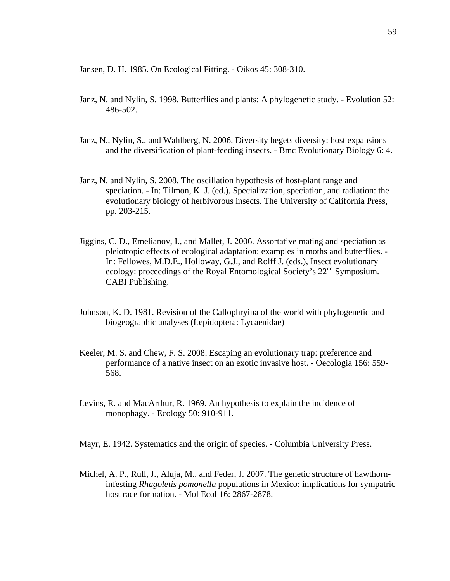Jansen, D. H. 1985. On Ecological Fitting. - Oikos 45: 308-310.

- Janz, N. and Nylin, S. 1998. Butterflies and plants: A phylogenetic study. Evolution 52: 486-502.
- Janz, N., Nylin, S., and Wahlberg, N. 2006. Diversity begets diversity: host expansions and the diversification of plant-feeding insects. - Bmc Evolutionary Biology 6: 4.
- Janz, N. and Nylin, S. 2008. The oscillation hypothesis of host-plant range and speciation. - In: Tilmon, K. J. (ed.), Specialization, speciation, and radiation: the evolutionary biology of herbivorous insects. The University of California Press, pp. 203-215.
- Jiggins, C. D., Emelianov, I., and Mallet, J. 2006. Assortative mating and speciation as pleiotropic effects of ecological adaptation: examples in moths and butterflies. - In: Fellowes, M.D.E., Holloway, G.J., and Rolff J. (eds.), Insect evolutionary ecology: proceedings of the Royal Entomological Society's 22<sup>nd</sup> Symposium. CABI Publishing.
- Johnson, K. D. 1981. Revision of the Callophryina of the world with phylogenetic and biogeographic analyses (Lepidoptera: Lycaenidae)
- Keeler, M. S. and Chew, F. S. 2008. Escaping an evolutionary trap: preference and performance of a native insect on an exotic invasive host. - Oecologia 156: 559- 568.
- Levins, R. and MacArthur, R. 1969. An hypothesis to explain the incidence of monophagy. - Ecology 50: 910-911.
- Mayr, E. 1942. Systematics and the origin of species. Columbia University Press.
- Michel, A. P., Rull, J., Aluja, M., and Feder, J. 2007. The genetic structure of hawthorninfesting *Rhagoletis pomonella* populations in Mexico: implications for sympatric host race formation. - Mol Ecol 16: 2867-2878.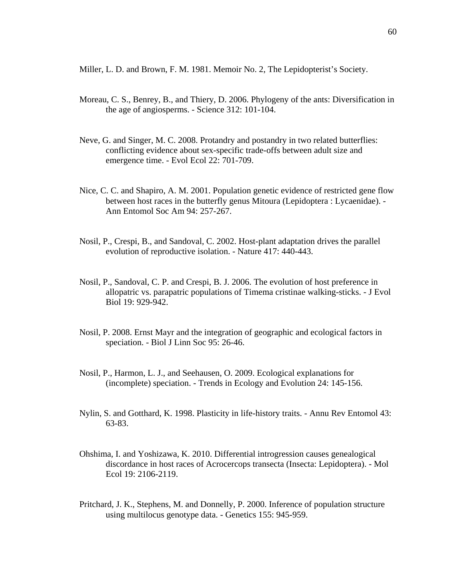Miller, L. D. and Brown, F. M. 1981. Memoir No. 2, The Lepidopterist's Society.

- Moreau, C. S., Benrey, B., and Thiery, D. 2006. Phylogeny of the ants: Diversification in the age of angiosperms. - Science 312: 101-104.
- Neve, G. and Singer, M. C. 2008. Protandry and postandry in two related butterflies: conflicting evidence about sex-specific trade-offs between adult size and emergence time. - Evol Ecol 22: 701-709.
- Nice, C. C. and Shapiro, A. M. 2001. Population genetic evidence of restricted gene flow between host races in the butterfly genus Mitoura (Lepidoptera : Lycaenidae). - Ann Entomol Soc Am 94: 257-267.
- Nosil, P., Crespi, B., and Sandoval, C. 2002. Host-plant adaptation drives the parallel evolution of reproductive isolation. - Nature 417: 440-443.
- Nosil, P., Sandoval, C. P. and Crespi, B. J. 2006. The evolution of host preference in allopatric vs. parapatric populations of Timema cristinae walking-sticks. - J Evol Biol 19: 929-942.
- Nosil, P. 2008. Ernst Mayr and the integration of geographic and ecological factors in speciation. - Biol J Linn Soc 95: 26-46.
- Nosil, P., Harmon, L. J., and Seehausen, O. 2009. Ecological explanations for (incomplete) speciation. - Trends in Ecology and Evolution 24: 145-156.
- Nylin, S. and Gotthard, K. 1998. Plasticity in life-history traits. Annu Rev Entomol 43: 63-83.
- Ohshima, I. and Yoshizawa, K. 2010. Differential introgression causes genealogical discordance in host races of Acrocercops transecta (Insecta: Lepidoptera). - Mol Ecol 19: 2106-2119.
- Pritchard, J. K., Stephens, M. and Donnelly, P. 2000. Inference of population structure using multilocus genotype data. - Genetics 155: 945-959.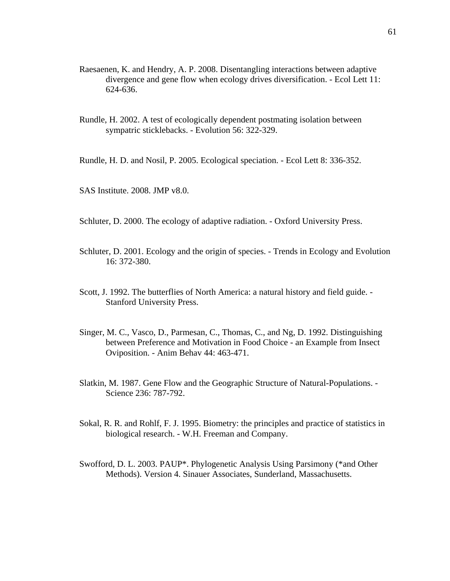- Raesaenen, K. and Hendry, A. P. 2008. Disentangling interactions between adaptive divergence and gene flow when ecology drives diversification. - Ecol Lett 11: 624-636.
- Rundle, H. 2002. A test of ecologically dependent postmating isolation between sympatric sticklebacks. - Evolution 56: 322-329.

Rundle, H. D. and Nosil, P. 2005. Ecological speciation. - Ecol Lett 8: 336-352.

SAS Institute. 2008. JMP v8.0.

Schluter, D. 2000. The ecology of adaptive radiation. - Oxford University Press.

- Schluter, D. 2001. Ecology and the origin of species. Trends in Ecology and Evolution 16: 372-380.
- Scott, J. 1992. The butterflies of North America: a natural history and field guide. Stanford University Press.
- Singer, M. C., Vasco, D., Parmesan, C., Thomas, C., and Ng, D. 1992. Distinguishing between Preference and Motivation in Food Choice - an Example from Insect Oviposition. - Anim Behav 44: 463-471.
- Slatkin, M. 1987. Gene Flow and the Geographic Structure of Natural-Populations. Science 236: 787-792.
- Sokal, R. R. and Rohlf, F. J. 1995. Biometry: the principles and practice of statistics in biological research. - W.H. Freeman and Company.
- Swofford, D. L. 2003. PAUP\*. Phylogenetic Analysis Using Parsimony (\*and Other Methods). Version 4. Sinauer Associates, Sunderland, Massachusetts.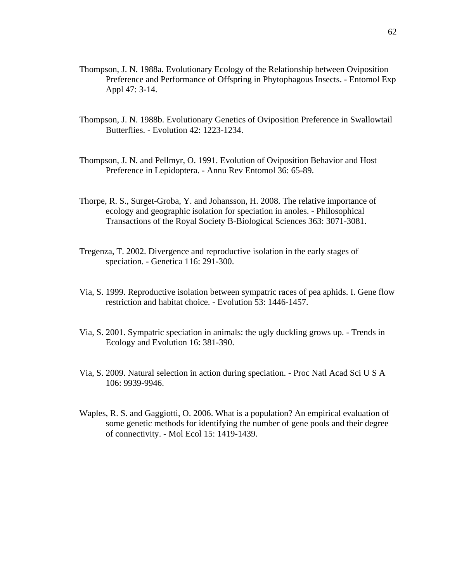- Thompson, J. N. 1988a. Evolutionary Ecology of the Relationship between Oviposition Preference and Performance of Offspring in Phytophagous Insects. - Entomol Exp Appl 47: 3-14.
- Thompson, J. N. 1988b. Evolutionary Genetics of Oviposition Preference in Swallowtail Butterflies. - Evolution 42: 1223-1234.
- Thompson, J. N. and Pellmyr, O. 1991. Evolution of Oviposition Behavior and Host Preference in Lepidoptera. - Annu Rev Entomol 36: 65-89.
- Thorpe, R. S., Surget-Groba, Y. and Johansson, H. 2008. The relative importance of ecology and geographic isolation for speciation in anoles. - Philosophical Transactions of the Royal Society B-Biological Sciences 363: 3071-3081.
- Tregenza, T. 2002. Divergence and reproductive isolation in the early stages of speciation. - Genetica 116: 291-300.
- Via, S. 1999. Reproductive isolation between sympatric races of pea aphids. I. Gene flow restriction and habitat choice. - Evolution 53: 1446-1457.
- Via, S. 2001. Sympatric speciation in animals: the ugly duckling grows up. Trends in Ecology and Evolution 16: 381-390.
- Via, S. 2009. Natural selection in action during speciation. Proc Natl Acad Sci U S A 106: 9939-9946.
- Waples, R. S. and Gaggiotti, O. 2006. What is a population? An empirical evaluation of some genetic methods for identifying the number of gene pools and their degree of connectivity. - Mol Ecol 15: 1419-1439.